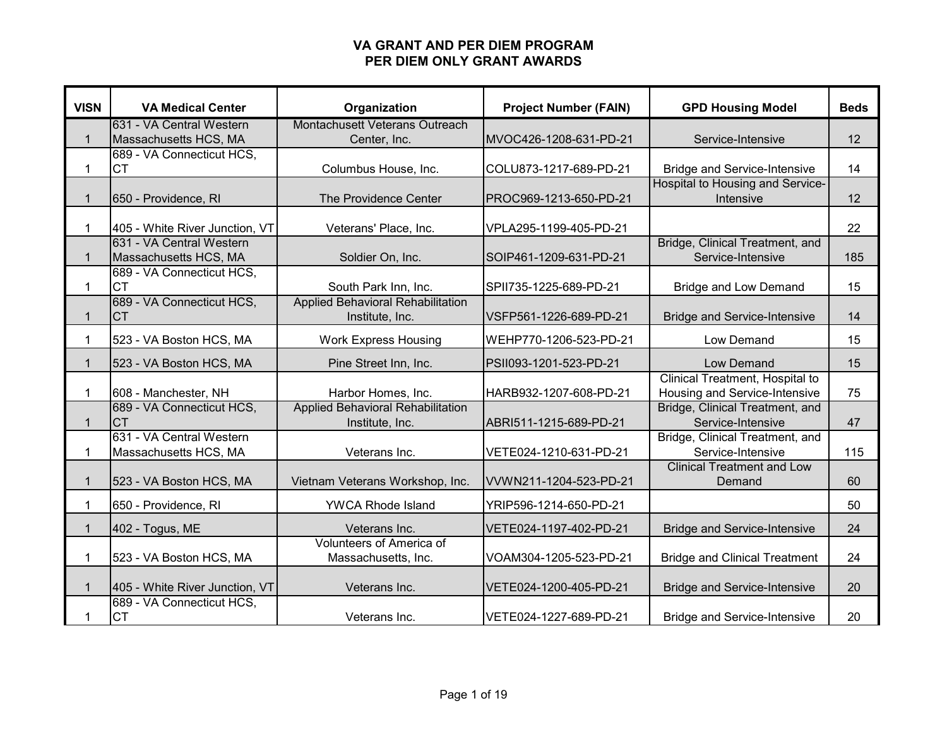| <b>VISN</b>  | <b>VA Medical Center</b>                          | Organization                                            | <b>Project Number (FAIN)</b> | <b>GPD Housing Model</b>                                         | <b>Beds</b> |
|--------------|---------------------------------------------------|---------------------------------------------------------|------------------------------|------------------------------------------------------------------|-------------|
|              | 631 - VA Central Western                          | Montachusett Veterans Outreach                          |                              |                                                                  |             |
| $\mathbf{1}$ | Massachusetts HCS, MA                             | Center, Inc.                                            | MVOC426-1208-631-PD-21       | Service-Intensive                                                | 12          |
| $\mathbf{1}$ | 689 - VA Connecticut HCS,<br><b>CT</b>            | Columbus House, Inc.                                    | COLU873-1217-689-PD-21       | <b>Bridge and Service-Intensive</b>                              | 14          |
|              |                                                   |                                                         |                              | Hospital to Housing and Service-                                 |             |
| $\mathbf{1}$ | 650 - Providence, RI                              | The Providence Center                                   | PROC969-1213-650-PD-21       | Intensive                                                        | 12          |
| $\mathbf{1}$ | 405 - White River Junction, VT                    | Veterans' Place, Inc.                                   | VPLA295-1199-405-PD-21       |                                                                  | 22          |
|              | 631 - VA Central Western                          |                                                         |                              | Bridge, Clinical Treatment, and                                  |             |
| $\mathbf{1}$ | Massachusetts HCS, MA                             | Soldier On, Inc.                                        | SOIP461-1209-631-PD-21       | Service-Intensive                                                | 185         |
|              | 689 - VA Connecticut HCS,                         |                                                         |                              |                                                                  |             |
| $\mathbf{1}$ | <b>CT</b>                                         | South Park Inn, Inc.                                    | SPII735-1225-689-PD-21       | <b>Bridge and Low Demand</b>                                     | 15          |
|              | 689 - VA Connecticut HCS,                         | Applied Behavioral Rehabilitation                       |                              |                                                                  |             |
| $\mathbf{1}$ | <b>CT</b>                                         | Institute, Inc.                                         | VSFP561-1226-689-PD-21       | <b>Bridge and Service-Intensive</b>                              | 14          |
| $\mathbf{1}$ | 523 - VA Boston HCS, MA                           | <b>Work Express Housing</b>                             | WEHP770-1206-523-PD-21       | Low Demand                                                       | 15          |
| $\mathbf{1}$ | 523 - VA Boston HCS, MA                           | Pine Street Inn, Inc.                                   | PSII093-1201-523-PD-21       | Low Demand                                                       | 15          |
|              |                                                   |                                                         |                              | Clinical Treatment, Hospital to                                  |             |
| $\mathbf{1}$ | 608 - Manchester, NH<br>689 - VA Connecticut HCS, | Harbor Homes, Inc.<br>Applied Behavioral Rehabilitation | HARB932-1207-608-PD-21       | Housing and Service-Intensive<br>Bridge, Clinical Treatment, and | 75          |
| $\mathbf{1}$ | <b>CT</b>                                         | Institute, Inc.                                         | ABRI511-1215-689-PD-21       | Service-Intensive                                                | 47          |
|              | 631 - VA Central Western                          |                                                         |                              | Bridge, Clinical Treatment, and                                  |             |
| 1            | Massachusetts HCS, MA                             | Veterans Inc.                                           | VETE024-1210-631-PD-21       | Service-Intensive                                                | 115         |
| $\mathbf{1}$ | 523 - VA Boston HCS, MA                           | Vietnam Veterans Workshop, Inc.                         | VVWN211-1204-523-PD-21       | <b>Clinical Treatment and Low</b><br>Demand                      | 60          |
| $\mathbf{1}$ | 650 - Providence, RI                              | <b>YWCA Rhode Island</b>                                | YRIP596-1214-650-PD-21       |                                                                  | 50          |
| $\mathbf{1}$ | 402 - Togus, ME                                   | Veterans Inc.                                           | VETE024-1197-402-PD-21       | <b>Bridge and Service-Intensive</b>                              | 24          |
| $\mathbf{1}$ | 523 - VA Boston HCS, MA                           | Volunteers of America of<br>Massachusetts, Inc.         | VOAM304-1205-523-PD-21       | <b>Bridge and Clinical Treatment</b>                             | 24          |
|              |                                                   |                                                         |                              |                                                                  |             |
| $\mathbf{1}$ | 405 - White River Junction, VT                    | Veterans Inc.                                           | VETE024-1200-405-PD-21       | <b>Bridge and Service-Intensive</b>                              | 20          |
| 1            | 689 - VA Connecticut HCS,<br><b>CT</b>            | Veterans Inc.                                           | VETE024-1227-689-PD-21       | <b>Bridge and Service-Intensive</b>                              | 20          |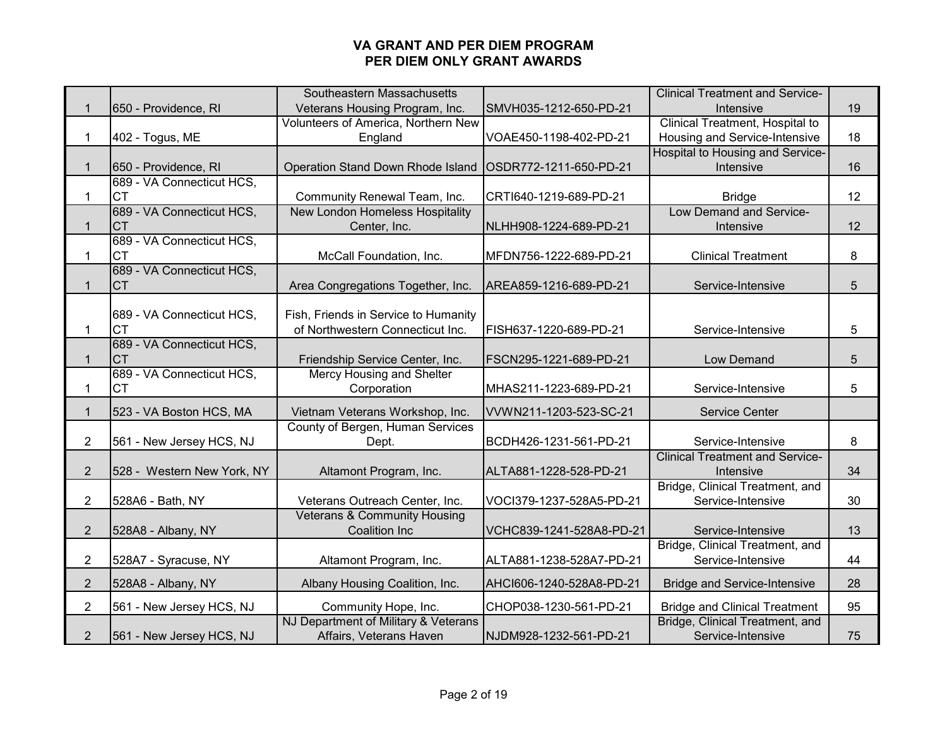|                |                            | Southeastern Massachusetts                                 |                          | <b>Clinical Treatment and Service-</b> |    |
|----------------|----------------------------|------------------------------------------------------------|--------------------------|----------------------------------------|----|
| $\mathbf{1}$   | 650 - Providence, RI       | Veterans Housing Program, Inc.                             | SMVH035-1212-650-PD-21   | Intensive                              | 19 |
|                |                            | Volunteers of America, Northern New                        |                          | Clinical Treatment, Hospital to        |    |
| $\mathbf{1}$   | 402 - Togus, ME            | England                                                    | VOAE450-1198-402-PD-21   | Housing and Service-Intensive          | 18 |
|                |                            |                                                            |                          | Hospital to Housing and Service-       |    |
| $\mathbf{1}$   | 650 - Providence, RI       | Operation Stand Down Rhode Island   OSDR772-1211-650-PD-21 |                          | Intensive                              | 16 |
|                | 689 - VA Connecticut HCS,  |                                                            |                          |                                        |    |
| 1              | <b>CT</b>                  | Community Renewal Team, Inc.                               | CRTI640-1219-689-PD-21   | <b>Bridge</b>                          | 12 |
|                | 689 - VA Connecticut HCS,  | New London Homeless Hospitality                            |                          | Low Demand and Service-                |    |
| $\mathbf{1}$   | <b>CT</b>                  | Center, Inc.                                               | NLHH908-1224-689-PD-21   | Intensive                              | 12 |
|                | 689 - VA Connecticut HCS,  |                                                            |                          |                                        |    |
| $\mathbf{1}$   | <b>CT</b>                  | McCall Foundation, Inc.                                    | MFDN756-1222-689-PD-21   | <b>Clinical Treatment</b>              | 8  |
|                | 689 - VA Connecticut HCS,  |                                                            |                          |                                        |    |
| $\mathbf{1}$   | <b>CT</b>                  | Area Congregations Together, Inc.                          | AREA859-1216-689-PD-21   | Service-Intensive                      | 5  |
|                |                            |                                                            |                          |                                        |    |
|                | 689 - VA Connecticut HCS,  | Fish, Friends in Service to Humanity                       |                          |                                        |    |
| 1              | <b>CT</b>                  | of Northwestern Connecticut Inc.                           | FISH637-1220-689-PD-21   | Service-Intensive                      | 5  |
|                | 689 - VA Connecticut HCS,  |                                                            |                          |                                        |    |
| $\mathbf{1}$   | <b>CT</b>                  | Friendship Service Center, Inc.                            | FSCN295-1221-689-PD-21   | Low Demand                             | 5  |
|                | 689 - VA Connecticut HCS,  | Mercy Housing and Shelter                                  |                          |                                        |    |
| $\mathbf{1}$   | <b>CT</b>                  | Corporation                                                | MHAS211-1223-689-PD-21   | Service-Intensive                      | 5  |
| $\mathbf{1}$   | 523 - VA Boston HCS, MA    | Vietnam Veterans Workshop, Inc.                            | VVWN211-1203-523-SC-21   | <b>Service Center</b>                  |    |
|                |                            | County of Bergen, Human Services                           |                          |                                        |    |
| $\overline{2}$ | 561 - New Jersey HCS, NJ   | Dept.                                                      | BCDH426-1231-561-PD-21   | Service-Intensive                      | 8  |
|                |                            |                                                            |                          | <b>Clinical Treatment and Service-</b> |    |
| $\overline{2}$ | 528 - Western New York, NY | Altamont Program, Inc.                                     | ALTA881-1228-528-PD-21   | Intensive                              | 34 |
|                |                            |                                                            |                          | Bridge, Clinical Treatment, and        |    |
| $\overline{2}$ | 528A6 - Bath, NY           | Veterans Outreach Center, Inc.                             | VOCI379-1237-528A5-PD-21 | Service-Intensive                      | 30 |
|                |                            | Veterans & Community Housing                               |                          |                                        |    |
| $\overline{2}$ | 528A8 - Albany, NY         | <b>Coalition Inc</b>                                       | VCHC839-1241-528A8-PD-21 | Service-Intensive                      | 13 |
|                |                            |                                                            |                          | Bridge, Clinical Treatment, and        |    |
| $\overline{2}$ | 528A7 - Syracuse, NY       | Altamont Program, Inc.                                     | ALTA881-1238-528A7-PD-21 | Service-Intensive                      | 44 |
| $\overline{2}$ | 528A8 - Albany, NY         | Albany Housing Coalition, Inc.                             | AHCI606-1240-528A8-PD-21 | <b>Bridge and Service-Intensive</b>    | 28 |
|                |                            |                                                            |                          |                                        |    |
| $\overline{2}$ | 561 - New Jersey HCS, NJ   | Community Hope, Inc.                                       | CHOP038-1230-561-PD-21   | <b>Bridge and Clinical Treatment</b>   | 95 |
|                |                            | NJ Department of Military & Veterans                       |                          | Bridge, Clinical Treatment, and        |    |
| $\overline{2}$ | 561 - New Jersey HCS, NJ   | Affairs, Veterans Haven                                    | NJDM928-1232-561-PD-21   | Service-Intensive                      | 75 |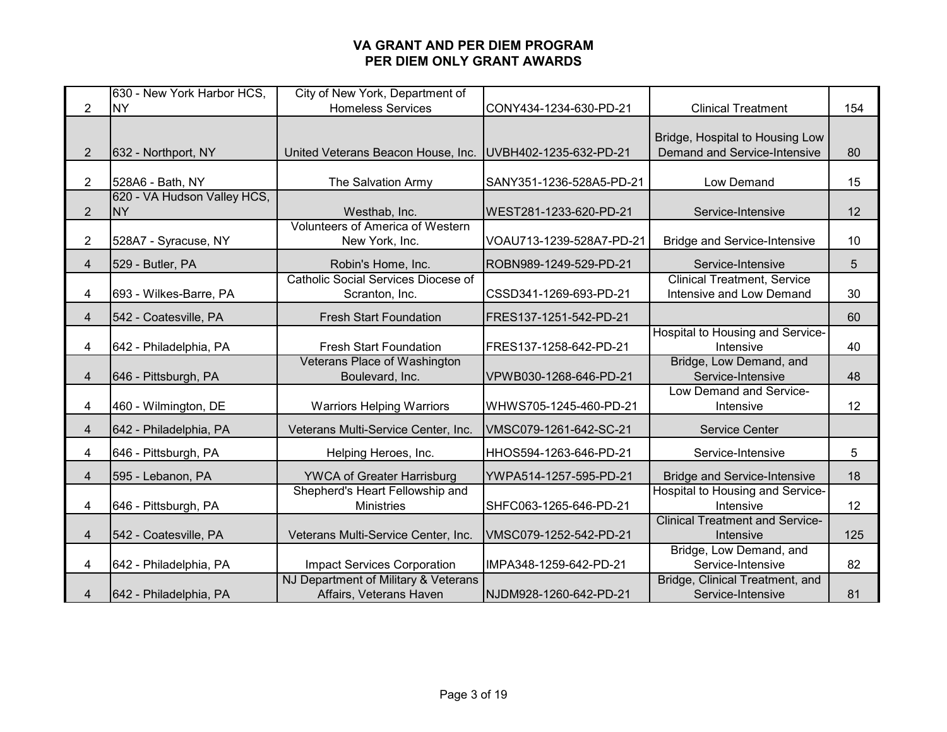|                | 630 - New York Harbor HCS,               | City of New York, Department of                                 |                          |                                                                 |     |
|----------------|------------------------------------------|-----------------------------------------------------------------|--------------------------|-----------------------------------------------------------------|-----|
| $\overline{2}$ | <b>NY</b>                                | <b>Homeless Services</b>                                        | CONY434-1234-630-PD-21   | <b>Clinical Treatment</b>                                       | 154 |
| $\overline{2}$ | 632 - Northport, NY                      | United Veterans Beacon House, Inc.                              | UVBH402-1235-632-PD-21   | Bridge, Hospital to Housing Low<br>Demand and Service-Intensive | 80  |
| $\overline{2}$ | 528A6 - Bath, NY                         | The Salvation Army                                              | SANY351-1236-528A5-PD-21 | Low Demand                                                      | 15  |
| $\overline{2}$ | 620 - VA Hudson Valley HCS,<br><b>NY</b> | Westhab, Inc.                                                   | WEST281-1233-620-PD-21   | Service-Intensive                                               | 12  |
| 2              | 528A7 - Syracuse, NY                     | <b>Volunteers of America of Western</b><br>New York, Inc.       | VOAU713-1239-528A7-PD-21 | <b>Bridge and Service-Intensive</b>                             | 10  |
| $\overline{4}$ | 529 - Butler, PA                         | Robin's Home, Inc.                                              | ROBN989-1249-529-PD-21   | Service-Intensive                                               | 5   |
| 4              | 693 - Wilkes-Barre, PA                   | <b>Catholic Social Services Diocese of</b><br>Scranton, Inc.    | CSSD341-1269-693-PD-21   | <b>Clinical Treatment, Service</b><br>Intensive and Low Demand  | 30  |
| 4              | 542 - Coatesville, PA                    | <b>Fresh Start Foundation</b>                                   | FRES137-1251-542-PD-21   |                                                                 | 60  |
| 4              | 642 - Philadelphia, PA                   | <b>Fresh Start Foundation</b>                                   | FRES137-1258-642-PD-21   | Hospital to Housing and Service-<br>Intensive                   | 40  |
| 4              | 646 - Pittsburgh, PA                     | Veterans Place of Washington<br>Boulevard, Inc.                 | VPWB030-1268-646-PD-21   | Bridge, Low Demand, and<br>Service-Intensive                    | 48  |
| 4              | 460 - Wilmington, DE                     | <b>Warriors Helping Warriors</b>                                | WHWS705-1245-460-PD-21   | Low Demand and Service-<br>Intensive                            | 12  |
| $\overline{4}$ | 642 - Philadelphia, PA                   | Veterans Multi-Service Center, Inc.                             | VMSC079-1261-642-SC-21   | <b>Service Center</b>                                           |     |
| 4              | 646 - Pittsburgh, PA                     | Helping Heroes, Inc.                                            | HHOS594-1263-646-PD-21   | Service-Intensive                                               | 5   |
| 4              | 595 - Lebanon, PA                        | <b>YWCA of Greater Harrisburg</b>                               | YWPA514-1257-595-PD-21   | <b>Bridge and Service-Intensive</b>                             | 18  |
| 4              | 646 - Pittsburgh, PA                     | Shepherd's Heart Fellowship and<br><b>Ministries</b>            | SHFC063-1265-646-PD-21   | Hospital to Housing and Service-<br>Intensive                   | 12  |
| 4              | 542 - Coatesville, PA                    | Veterans Multi-Service Center, Inc.                             | VMSC079-1252-542-PD-21   | <b>Clinical Treatment and Service-</b><br>Intensive             | 125 |
| 4              | 642 - Philadelphia, PA                   | <b>Impact Services Corporation</b>                              | IMPA348-1259-642-PD-21   | Bridge, Low Demand, and<br>Service-Intensive                    | 82  |
| 4              | 642 - Philadelphia, PA                   | NJ Department of Military & Veterans<br>Affairs, Veterans Haven | NJDM928-1260-642-PD-21   | Bridge, Clinical Treatment, and<br>Service-Intensive            | 81  |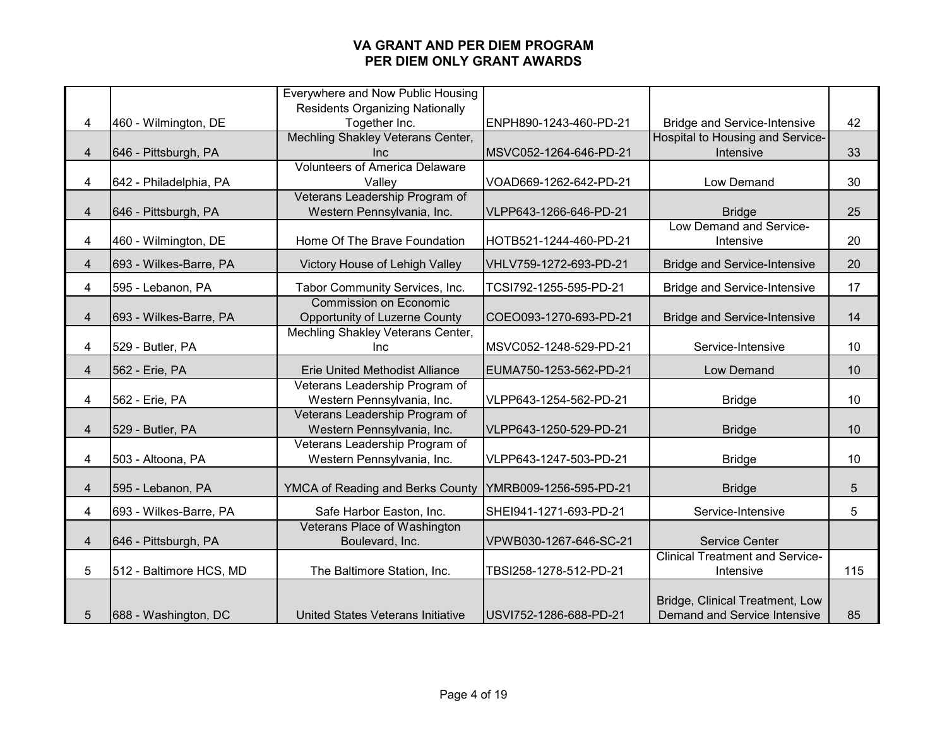|                |                         | Everywhere and Now Public Housing      |                        |                                        |     |
|----------------|-------------------------|----------------------------------------|------------------------|----------------------------------------|-----|
|                |                         | <b>Residents Organizing Nationally</b> |                        |                                        |     |
| 4              | 460 - Wilmington, DE    | Together Inc.                          | ENPH890-1243-460-PD-21 | <b>Bridge and Service-Intensive</b>    | 42  |
|                |                         | Mechling Shakley Veterans Center,      |                        | Hospital to Housing and Service-       |     |
| 4              | 646 - Pittsburgh, PA    | Inc                                    | MSVC052-1264-646-PD-21 | Intensive                              | 33  |
|                |                         | <b>Volunteers of America Delaware</b>  |                        |                                        |     |
| 4              | 642 - Philadelphia, PA  | Valley                                 | VOAD669-1262-642-PD-21 | Low Demand                             | 30  |
|                |                         | Veterans Leadership Program of         |                        |                                        |     |
| $\overline{4}$ | 646 - Pittsburgh, PA    | Western Pennsylvania, Inc.             | VLPP643-1266-646-PD-21 | <b>Bridge</b>                          | 25  |
|                |                         |                                        |                        | Low Demand and Service-                |     |
| 4              | 460 - Wilmington, DE    | Home Of The Brave Foundation           | HOTB521-1244-460-PD-21 | Intensive                              | 20  |
| $\overline{4}$ | 693 - Wilkes-Barre, PA  | Victory House of Lehigh Valley         | VHLV759-1272-693-PD-21 | <b>Bridge and Service-Intensive</b>    | 20  |
| 4              | 595 - Lebanon, PA       | Tabor Community Services, Inc.         | TCSI792-1255-595-PD-21 | <b>Bridge and Service-Intensive</b>    | 17  |
|                |                         | <b>Commission on Economic</b>          |                        |                                        |     |
| $\overline{4}$ | 693 - Wilkes-Barre, PA  | <b>Opportunity of Luzerne County</b>   | COEO093-1270-693-PD-21 | <b>Bridge and Service-Intensive</b>    | 14  |
|                |                         | Mechling Shakley Veterans Center,      |                        |                                        |     |
| 4              | 529 - Butler, PA        | <b>Inc</b>                             | MSVC052-1248-529-PD-21 | Service-Intensive                      | 10  |
| 4              | 562 - Erie, PA          | <b>Erie United Methodist Alliance</b>  | EUMA750-1253-562-PD-21 | Low Demand                             | 10  |
|                |                         | Veterans Leadership Program of         |                        |                                        |     |
| 4              | 562 - Erie, PA          | Western Pennsylvania, Inc.             | VLPP643-1254-562-PD-21 | <b>Bridge</b>                          | 10  |
|                |                         | Veterans Leadership Program of         |                        |                                        |     |
| $\overline{4}$ | 529 - Butler, PA        | Western Pennsylvania, Inc.             | VLPP643-1250-529-PD-21 | <b>Bridge</b>                          | 10  |
|                |                         | Veterans Leadership Program of         |                        |                                        |     |
| 4              | 503 - Altoona, PA       | Western Pennsylvania, Inc.             | VLPP643-1247-503-PD-21 | <b>Bridge</b>                          | 10  |
| 4              | 595 - Lebanon, PA       | YMCA of Reading and Berks County       | YMRB009-1256-595-PD-21 | <b>Bridge</b>                          | 5   |
|                |                         |                                        |                        |                                        |     |
| 4              | 693 - Wilkes-Barre, PA  | Safe Harbor Easton, Inc.               | SHEI941-1271-693-PD-21 | Service-Intensive                      | 5   |
|                |                         | Veterans Place of Washington           |                        |                                        |     |
| $\overline{4}$ | 646 - Pittsburgh, PA    | Boulevard, Inc.                        | VPWB030-1267-646-SC-21 | <b>Service Center</b>                  |     |
|                |                         |                                        |                        | <b>Clinical Treatment and Service-</b> |     |
| 5              | 512 - Baltimore HCS, MD | The Baltimore Station, Inc.            | TBSI258-1278-512-PD-21 | Intensive                              | 115 |
|                |                         |                                        |                        |                                        |     |
|                |                         |                                        |                        | Bridge, Clinical Treatment, Low        |     |
| 5              | 688 - Washington, DC    | United States Veterans Initiative      | USVI752-1286-688-PD-21 | Demand and Service Intensive           | 85  |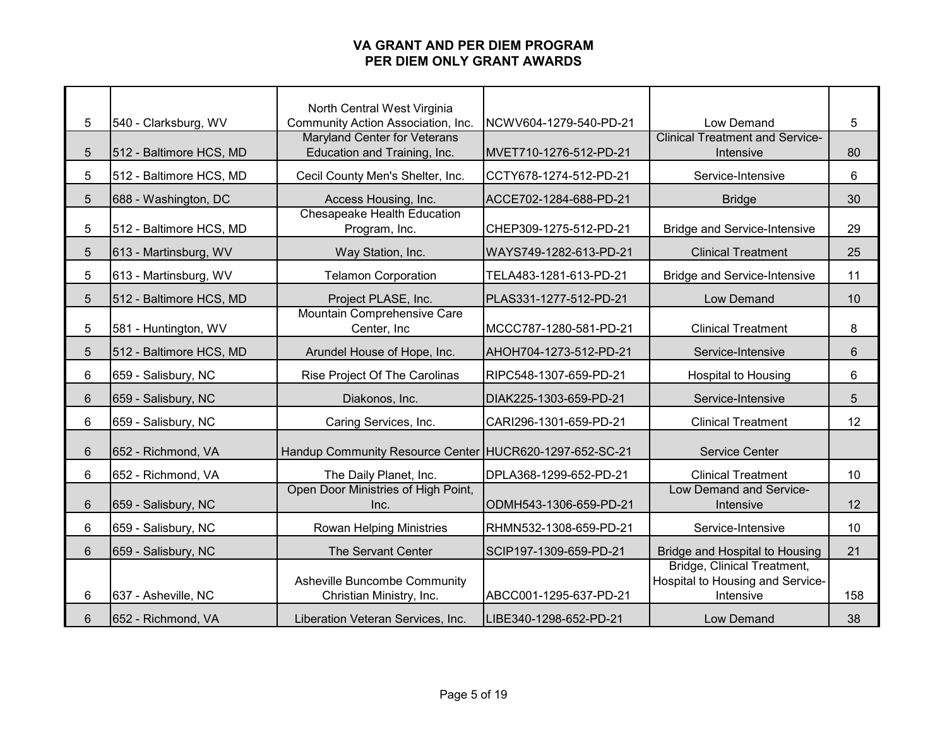| 5              | 540 - Clarksburg, WV    | North Central West Virginia<br>Community Action Association, Inc. | NCWV604-1279-540-PD-21 | Low Demand                             | 5               |
|----------------|-------------------------|-------------------------------------------------------------------|------------------------|----------------------------------------|-----------------|
|                |                         | <b>Maryland Center for Veterans</b>                               |                        | <b>Clinical Treatment and Service-</b> |                 |
| $\overline{5}$ | 512 - Baltimore HCS, MD | Education and Training, Inc.                                      | MVET710-1276-512-PD-21 | Intensive                              | 80              |
|                |                         |                                                                   |                        |                                        |                 |
| 5              | 512 - Baltimore HCS, MD | Cecil County Men's Shelter, Inc.                                  | CCTY678-1274-512-PD-21 | Service-Intensive                      | 6               |
| 5              | 688 - Washington, DC    | Access Housing, Inc.                                              | ACCE702-1284-688-PD-21 | <b>Bridge</b>                          | 30              |
|                |                         | <b>Chesapeake Health Education</b>                                |                        |                                        |                 |
| 5              | 512 - Baltimore HCS, MD | Program, Inc.                                                     | CHEP309-1275-512-PD-21 | <b>Bridge and Service-Intensive</b>    | 29              |
| 5              | 613 - Martinsburg, WV   | Way Station, Inc.                                                 | WAYS749-1282-613-PD-21 | <b>Clinical Treatment</b>              | 25              |
| 5              | 613 - Martinsburg, WV   | <b>Telamon Corporation</b>                                        | TELA483-1281-613-PD-21 | <b>Bridge and Service-Intensive</b>    | 11              |
| 5              | 512 - Baltimore HCS, MD | Project PLASE, Inc.                                               | PLAS331-1277-512-PD-21 | Low Demand                             | 10              |
|                |                         | Mountain Comprehensive Care                                       |                        |                                        |                 |
| 5              | 581 - Huntington, WV    | Center, Inc.                                                      | MCCC787-1280-581-PD-21 | <b>Clinical Treatment</b>              | 8               |
| $5\phantom{.}$ | 512 - Baltimore HCS, MD | Arundel House of Hope, Inc.                                       | AHOH704-1273-512-PD-21 | Service-Intensive                      | $6\phantom{1}6$ |
| 6              | 659 - Salisbury, NC     | Rise Project Of The Carolinas                                     | RIPC548-1307-659-PD-21 | <b>Hospital to Housing</b>             | 6               |
| 6              | 659 - Salisbury, NC     | Diakonos, Inc.                                                    | DIAK225-1303-659-PD-21 | Service-Intensive                      | 5               |
| 6              | 659 - Salisbury, NC     | Caring Services, Inc.                                             | CARI296-1301-659-PD-21 | <b>Clinical Treatment</b>              | 12              |
| 6              | 652 - Richmond, VA      | Handup Community Resource Center HUCR620-1297-652-SC-21           |                        | <b>Service Center</b>                  |                 |
|                |                         |                                                                   |                        |                                        |                 |
| 6              | 652 - Richmond, VA      | The Daily Planet, Inc.                                            | DPLA368-1299-652-PD-21 | <b>Clinical Treatment</b>              | 10              |
| 6              | 659 - Salisbury, NC     | Open Door Ministries of High Point,<br>Inc.                       | ODMH543-1306-659-PD-21 | Low Demand and Service-<br>Intensive   | 12              |
|                |                         |                                                                   |                        |                                        |                 |
| 6              | 659 - Salisbury, NC     | Rowan Helping Ministries                                          | RHMN532-1308-659-PD-21 | Service-Intensive                      | 10              |
| 6              | 659 - Salisbury, NC     | The Servant Center                                                | SCIP197-1309-659-PD-21 | Bridge and Hospital to Housing         | 21              |
|                |                         |                                                                   |                        | Bridge, Clinical Treatment,            |                 |
|                |                         | <b>Asheville Buncombe Community</b>                               |                        | Hospital to Housing and Service-       |                 |
| 6              | 637 - Asheville, NC     | Christian Ministry, Inc.                                          | ABCC001-1295-637-PD-21 | Intensive                              | 158             |
| 6              | 652 - Richmond, VA      | Liberation Veteran Services, Inc.                                 | LIBE340-1298-652-PD-21 | Low Demand                             | 38              |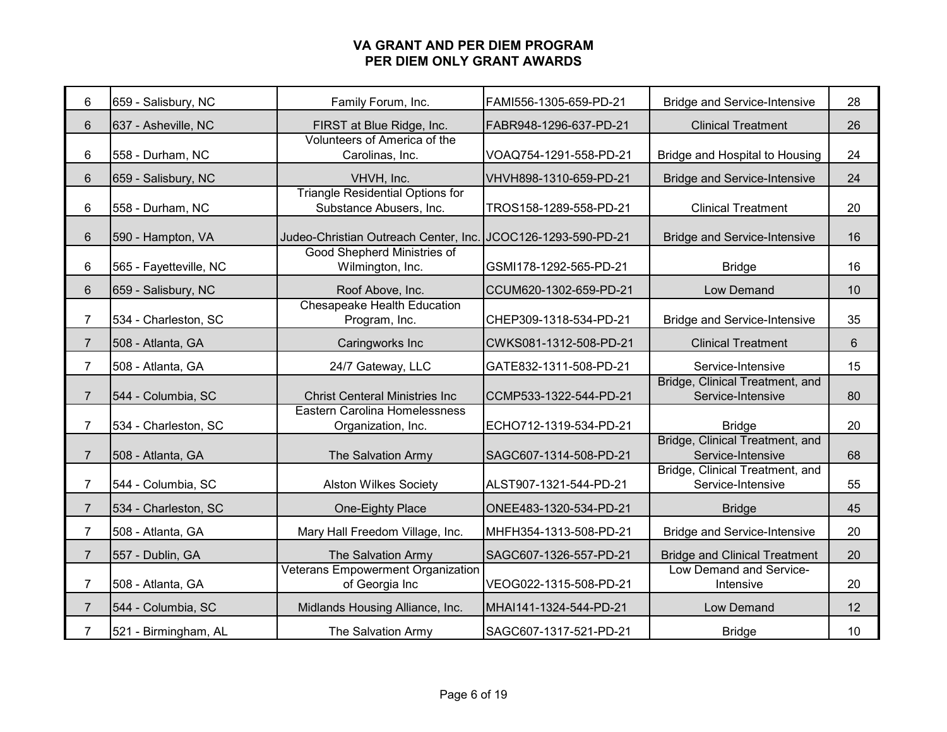| 6              | 659 - Salisbury, NC    | Family Forum, Inc.                                                 | FAMI556-1305-659-PD-21 | <b>Bridge and Service-Intensive</b>                  | 28      |
|----------------|------------------------|--------------------------------------------------------------------|------------------------|------------------------------------------------------|---------|
| $6\phantom{1}$ | 637 - Asheville, NC    | FIRST at Blue Ridge, Inc.                                          | FABR948-1296-637-PD-21 | <b>Clinical Treatment</b>                            | 26      |
| 6              | 558 - Durham, NC       | Volunteers of America of the<br>Carolinas, Inc.                    | VOAQ754-1291-558-PD-21 | Bridge and Hospital to Housing                       | 24      |
| $6\phantom{1}$ | 659 - Salisbury, NC    | VHVH, Inc.                                                         | VHVH898-1310-659-PD-21 | <b>Bridge and Service-Intensive</b>                  | 24      |
| 6              | 558 - Durham, NC       | <b>Triangle Residential Options for</b><br>Substance Abusers, Inc. | TROS158-1289-558-PD-21 | <b>Clinical Treatment</b>                            | 20      |
| $\,6\,$        | 590 - Hampton, VA      | Judeo-Christian Outreach Center, Inc. JCOC126-1293-590-PD-21       |                        | <b>Bridge and Service-Intensive</b>                  | 16      |
| 6              | 565 - Fayetteville, NC | Good Shepherd Ministries of<br>Wilmington, Inc.                    | GSMI178-1292-565-PD-21 | <b>Bridge</b>                                        | 16      |
| 6              | 659 - Salisbury, NC    | Roof Above, Inc.                                                   | CCUM620-1302-659-PD-21 | Low Demand                                           | 10      |
| $\overline{7}$ | 534 - Charleston, SC   | <b>Chesapeake Health Education</b><br>Program, Inc.                | CHEP309-1318-534-PD-21 | <b>Bridge and Service-Intensive</b>                  | 35      |
| $\overline{7}$ | 508 - Atlanta, GA      | Caringworks Inc                                                    | CWKS081-1312-508-PD-21 | <b>Clinical Treatment</b>                            | $\,6\,$ |
| $\overline{7}$ | 508 - Atlanta, GA      | 24/7 Gateway, LLC                                                  | GATE832-1311-508-PD-21 | Service-Intensive                                    | 15      |
| $\overline{7}$ | 544 - Columbia, SC     | <b>Christ Centeral Ministries Inc</b>                              | CCMP533-1322-544-PD-21 | Bridge, Clinical Treatment, and<br>Service-Intensive | 80      |
| $\overline{7}$ | 534 - Charleston, SC   | Eastern Carolina Homelessness<br>Organization, Inc.                | ECHO712-1319-534-PD-21 | <b>Bridge</b>                                        | 20      |
| $\overline{7}$ | 508 - Atlanta, GA      | The Salvation Army                                                 | SAGC607-1314-508-PD-21 | Bridge, Clinical Treatment, and<br>Service-Intensive | 68      |
| $\overline{7}$ | 544 - Columbia, SC     | <b>Alston Wilkes Society</b>                                       | ALST907-1321-544-PD-21 | Bridge, Clinical Treatment, and<br>Service-Intensive | 55      |
| $\overline{7}$ | 534 - Charleston, SC   | One-Eighty Place                                                   | ONEE483-1320-534-PD-21 | <b>Bridge</b>                                        | 45      |
| $\overline{7}$ | 508 - Atlanta, GA      | Mary Hall Freedom Village, Inc.                                    | MHFH354-1313-508-PD-21 | <b>Bridge and Service-Intensive</b>                  | 20      |
| $\overline{7}$ | 557 - Dublin, GA       | The Salvation Army                                                 | SAGC607-1326-557-PD-21 | <b>Bridge and Clinical Treatment</b>                 | 20      |
| $\overline{7}$ | 508 - Atlanta, GA      | <b>Veterans Empowerment Organization</b><br>of Georgia Inc         | VEOG022-1315-508-PD-21 | Low Demand and Service-<br>Intensive                 | 20      |
| $\overline{7}$ | 544 - Columbia, SC     | Midlands Housing Alliance, Inc.                                    | MHAI141-1324-544-PD-21 | Low Demand                                           | 12      |
| $\overline{7}$ | 521 - Birmingham, AL   | The Salvation Army                                                 | SAGC607-1317-521-PD-21 | <b>Bridge</b>                                        | 10      |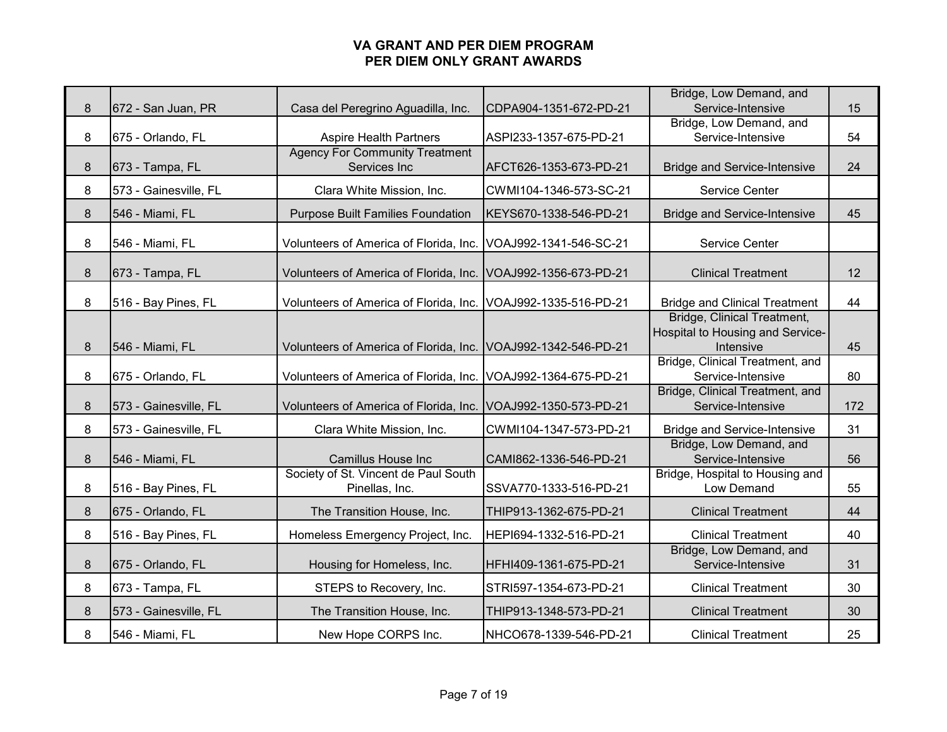| 8 | 672 - San Juan, PR    | Casa del Peregrino Aguadilla, Inc.                            | CDPA904-1351-672-PD-21 | Bridge, Low Demand, and<br>Service-Intensive                                 | 15  |
|---|-----------------------|---------------------------------------------------------------|------------------------|------------------------------------------------------------------------------|-----|
| 8 | 675 - Orlando, FL     | <b>Aspire Health Partners</b>                                 | ASPI233-1357-675-PD-21 | Bridge, Low Demand, and<br>Service-Intensive                                 | 54  |
| 8 | 673 - Tampa, FL       | <b>Agency For Community Treatment</b><br>Services Inc         | AFCT626-1353-673-PD-21 | <b>Bridge and Service-Intensive</b>                                          | 24  |
| 8 | 573 - Gainesville, FL | Clara White Mission, Inc.                                     | CWMI104-1346-573-SC-21 | Service Center                                                               |     |
| 8 | 546 - Miami, FL       | <b>Purpose Built Families Foundation</b>                      | KEYS670-1338-546-PD-21 | <b>Bridge and Service-Intensive</b>                                          | 45  |
| 8 | 546 - Miami, FL       | Volunteers of America of Florida, Inc. VOAJ992-1341-546-SC-21 |                        | Service Center                                                               |     |
| 8 | 673 - Tampa, FL       | Volunteers of America of Florida, Inc. VOAJ992-1356-673-PD-21 |                        | <b>Clinical Treatment</b>                                                    | 12  |
| 8 | 516 - Bay Pines, FL   | Volunteers of America of Florida, Inc. VOAJ992-1335-516-PD-21 |                        | <b>Bridge and Clinical Treatment</b>                                         | 44  |
| 8 | 546 - Miami, FL       | Volunteers of America of Florida, Inc. VOAJ992-1342-546-PD-21 |                        | Bridge, Clinical Treatment,<br>Hospital to Housing and Service-<br>Intensive | 45  |
| 8 | 675 - Orlando, FL     | Volunteers of America of Florida, Inc. VOAJ992-1364-675-PD-21 |                        | Bridge, Clinical Treatment, and<br>Service-Intensive                         | 80  |
| 8 | 573 - Gainesville, FL | Volunteers of America of Florida, Inc. VOAJ992-1350-573-PD-21 |                        | Bridge, Clinical Treatment, and<br>Service-Intensive                         | 172 |
| 8 | 573 - Gainesville, FL | Clara White Mission, Inc.                                     | CWMI104-1347-573-PD-21 | <b>Bridge and Service-Intensive</b>                                          | 31  |
| 8 | 546 - Miami, FL       | Camillus House Inc                                            | CAMI862-1336-546-PD-21 | Bridge, Low Demand, and<br>Service-Intensive                                 | 56  |
| 8 | 516 - Bay Pines, FL   | Society of St. Vincent de Paul South<br>Pinellas, Inc.        | SSVA770-1333-516-PD-21 | Bridge, Hospital to Housing and<br>Low Demand                                | 55  |
| 8 | 675 - Orlando, FL     | The Transition House, Inc.                                    | THIP913-1362-675-PD-21 | <b>Clinical Treatment</b>                                                    | 44  |
| 8 | 516 - Bay Pines, FL   | Homeless Emergency Project, Inc.                              | HEPI694-1332-516-PD-21 | <b>Clinical Treatment</b>                                                    | 40  |
| 8 | 675 - Orlando, FL     | Housing for Homeless, Inc.                                    | HFHI409-1361-675-PD-21 | Bridge, Low Demand, and<br>Service-Intensive                                 | 31  |
| 8 | 673 - Tampa, FL       | STEPS to Recovery, Inc.                                       | STRI597-1354-673-PD-21 | <b>Clinical Treatment</b>                                                    | 30  |
| 8 | 573 - Gainesville, FL | The Transition House, Inc.                                    | THIP913-1348-573-PD-21 | <b>Clinical Treatment</b>                                                    | 30  |
| 8 | 546 - Miami, FL       | New Hope CORPS Inc.                                           | NHCO678-1339-546-PD-21 | <b>Clinical Treatment</b>                                                    | 25  |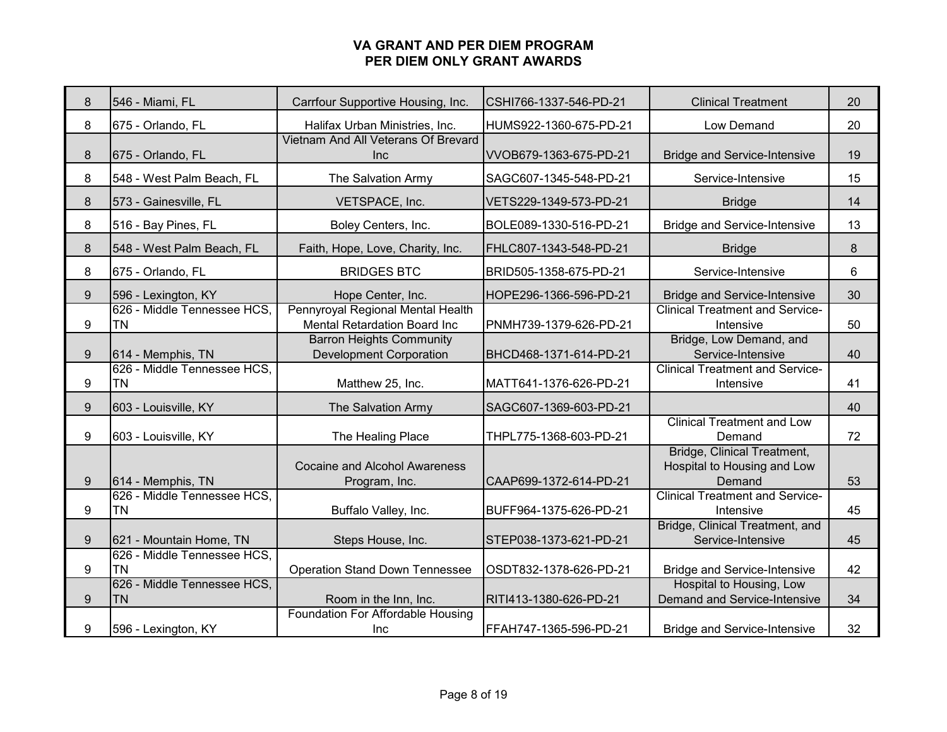| 8 | 546 - Miami, FL                          | Carrfour Supportive Housing, Inc.                                 | CSHI766-1337-546-PD-21 | <b>Clinical Treatment</b>                                            | 20 |
|---|------------------------------------------|-------------------------------------------------------------------|------------------------|----------------------------------------------------------------------|----|
| 8 | 675 - Orlando, FL                        | Halifax Urban Ministries, Inc.                                    | HUMS922-1360-675-PD-21 | Low Demand                                                           | 20 |
| 8 | 675 - Orlando, FL                        | Vietnam And All Veterans Of Brevard<br><b>Inc</b>                 | VVOB679-1363-675-PD-21 | <b>Bridge and Service-Intensive</b>                                  | 19 |
| 8 | 548 - West Palm Beach, FL                | The Salvation Army                                                | SAGC607-1345-548-PD-21 | Service-Intensive                                                    | 15 |
| 8 | 573 - Gainesville, FL                    | VETSPACE, Inc.                                                    | VETS229-1349-573-PD-21 | <b>Bridge</b>                                                        | 14 |
| 8 | 516 - Bay Pines, FL                      | Boley Centers, Inc.                                               | BOLE089-1330-516-PD-21 | <b>Bridge and Service-Intensive</b>                                  | 13 |
| 8 | 548 - West Palm Beach, FL                | Faith, Hope, Love, Charity, Inc.                                  | FHLC807-1343-548-PD-21 | <b>Bridge</b>                                                        | 8  |
| 8 | 675 - Orlando, FL                        | <b>BRIDGES BTC</b>                                                | BRID505-1358-675-PD-21 | Service-Intensive                                                    | 6  |
| 9 | 596 - Lexington, KY                      | Hope Center, Inc.                                                 | HOPE296-1366-596-PD-21 | <b>Bridge and Service-Intensive</b>                                  | 30 |
| 9 | 626 - Middle Tennessee HCS,<br><b>TN</b> | Pennyroyal Regional Mental Health<br>Mental Retardation Board Inc | PNMH739-1379-626-PD-21 | <b>Clinical Treatment and Service-</b><br>Intensive                  | 50 |
| 9 | 614 - Memphis, TN                        | <b>Barron Heights Community</b><br><b>Development Corporation</b> | BHCD468-1371-614-PD-21 | Bridge, Low Demand, and<br>Service-Intensive                         | 40 |
| 9 | 626 - Middle Tennessee HCS.<br><b>TN</b> | Matthew 25, Inc.                                                  | MATT641-1376-626-PD-21 | <b>Clinical Treatment and Service-</b><br>Intensive                  | 41 |
| 9 | 603 - Louisville, KY                     | The Salvation Army                                                | SAGC607-1369-603-PD-21 |                                                                      | 40 |
| 9 | 603 - Louisville, KY                     | The Healing Place                                                 | THPL775-1368-603-PD-21 | <b>Clinical Treatment and Low</b><br>Demand                          | 72 |
| 9 | 614 - Memphis, TN                        | <b>Cocaine and Alcohol Awareness</b><br>Program, Inc.             | CAAP699-1372-614-PD-21 | Bridge, Clinical Treatment,<br>Hospital to Housing and Low<br>Demand | 53 |
| 9 | 626 - Middle Tennessee HCS,<br><b>TN</b> | Buffalo Valley, Inc.                                              | BUFF964-1375-626-PD-21 | <b>Clinical Treatment and Service-</b><br>Intensive                  | 45 |
| 9 | 621 - Mountain Home, TN                  | Steps House, Inc.                                                 | STEP038-1373-621-PD-21 | Bridge, Clinical Treatment, and<br>Service-Intensive                 | 45 |
| 9 | 626 - Middle Tennessee HCS,<br><b>TN</b> | <b>Operation Stand Down Tennessee</b>                             | OSDT832-1378-626-PD-21 | <b>Bridge and Service-Intensive</b>                                  | 42 |
| 9 | 626 - Middle Tennessee HCS,<br><b>TN</b> | Room in the Inn, Inc.                                             | RITI413-1380-626-PD-21 | Hospital to Housing, Low<br>Demand and Service-Intensive             | 34 |
| 9 | 596 - Lexington, KY                      | <b>Foundation For Affordable Housing</b><br><b>Inc</b>            | FFAH747-1365-596-PD-21 | <b>Bridge and Service-Intensive</b>                                  | 32 |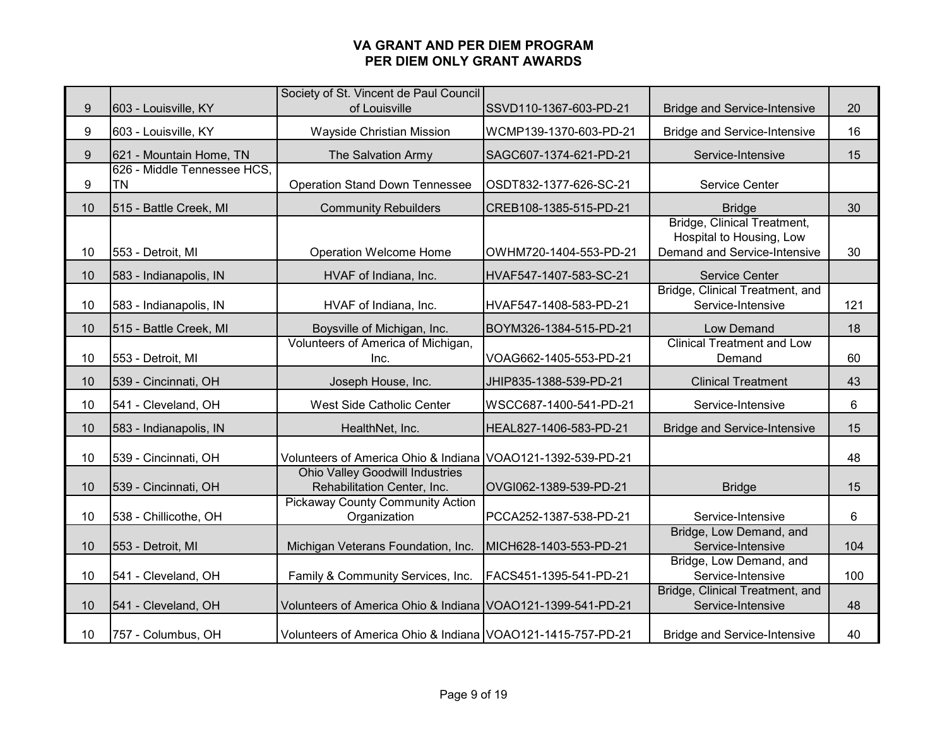|    |                             | Society of St. Vincent de Paul Council                                |                        |                                                                                                |     |
|----|-----------------------------|-----------------------------------------------------------------------|------------------------|------------------------------------------------------------------------------------------------|-----|
| 9  | 603 - Louisville, KY        | of Louisville                                                         | SSVD110-1367-603-PD-21 | <b>Bridge and Service-Intensive</b>                                                            | 20  |
| 9  | 603 - Louisville, KY        | Wayside Christian Mission                                             | WCMP139-1370-603-PD-21 | <b>Bridge and Service-Intensive</b>                                                            | 16  |
| 9  | 621 - Mountain Home, TN     | The Salvation Army                                                    | SAGC607-1374-621-PD-21 | Service-Intensive                                                                              | 15  |
|    | 626 - Middle Tennessee HCS, |                                                                       |                        |                                                                                                |     |
| 9  | <b>TN</b>                   | <b>Operation Stand Down Tennessee</b>                                 | OSDT832-1377-626-SC-21 | Service Center                                                                                 |     |
| 10 | 515 - Battle Creek, MI      | <b>Community Rebuilders</b>                                           | CREB108-1385-515-PD-21 | <b>Bridge</b>                                                                                  | 30  |
| 10 | 553 - Detroit, MI           | <b>Operation Welcome Home</b>                                         | OWHM720-1404-553-PD-21 | <b>Bridge, Clinical Treatment,</b><br>Hospital to Housing, Low<br>Demand and Service-Intensive | 30  |
| 10 | 583 - Indianapolis, IN      | HVAF of Indiana, Inc.                                                 | HVAF547-1407-583-SC-21 | <b>Service Center</b>                                                                          |     |
| 10 | 583 - Indianapolis, IN      | HVAF of Indiana, Inc.                                                 | HVAF547-1408-583-PD-21 | Bridge, Clinical Treatment, and<br>Service-Intensive                                           | 121 |
| 10 | 515 - Battle Creek, MI      | Boysville of Michigan, Inc.                                           | BOYM326-1384-515-PD-21 | Low Demand                                                                                     | 18  |
| 10 | 553 - Detroit, MI           | Volunteers of America of Michigan,<br>Inc.                            | VOAG662-1405-553-PD-21 | <b>Clinical Treatment and Low</b><br>Demand                                                    | 60  |
| 10 | 539 - Cincinnati, OH        | Joseph House, Inc.                                                    | JHIP835-1388-539-PD-21 | <b>Clinical Treatment</b>                                                                      | 43  |
| 10 | 541 - Cleveland, OH         | West Side Catholic Center                                             | WSCC687-1400-541-PD-21 | Service-Intensive                                                                              | 6   |
| 10 | 583 - Indianapolis, IN      | HealthNet, Inc.                                                       | HEAL827-1406-583-PD-21 | <b>Bridge and Service-Intensive</b>                                                            | 15  |
| 10 | 539 - Cincinnati, OH        | Volunteers of America Ohio & Indiana VOAO121-1392-539-PD-21           |                        |                                                                                                | 48  |
| 10 | 539 - Cincinnati, OH        | <b>Ohio Valley Goodwill Industries</b><br>Rehabilitation Center, Inc. | OVGI062-1389-539-PD-21 | <b>Bridge</b>                                                                                  | 15  |
| 10 | 538 - Chillicothe, OH       | <b>Pickaway County Community Action</b><br>Organization               | PCCA252-1387-538-PD-21 | Service-Intensive                                                                              | 6   |
| 10 | 553 - Detroit, MI           | Michigan Veterans Foundation, Inc.                                    | MICH628-1403-553-PD-21 | Bridge, Low Demand, and<br>Service-Intensive                                                   | 104 |
| 10 | 541 - Cleveland, OH         | Family & Community Services, Inc.                                     | FACS451-1395-541-PD-21 | Bridge, Low Demand, and<br>Service-Intensive                                                   | 100 |
| 10 | 541 - Cleveland, OH         | Volunteers of America Ohio & Indiana VOAO121-1399-541-PD-21           |                        | Bridge, Clinical Treatment, and<br>Service-Intensive                                           | 48  |
| 10 | 757 - Columbus, OH          | Volunteers of America Ohio & Indiana VOAO121-1415-757-PD-21           |                        | <b>Bridge and Service-Intensive</b>                                                            | 40  |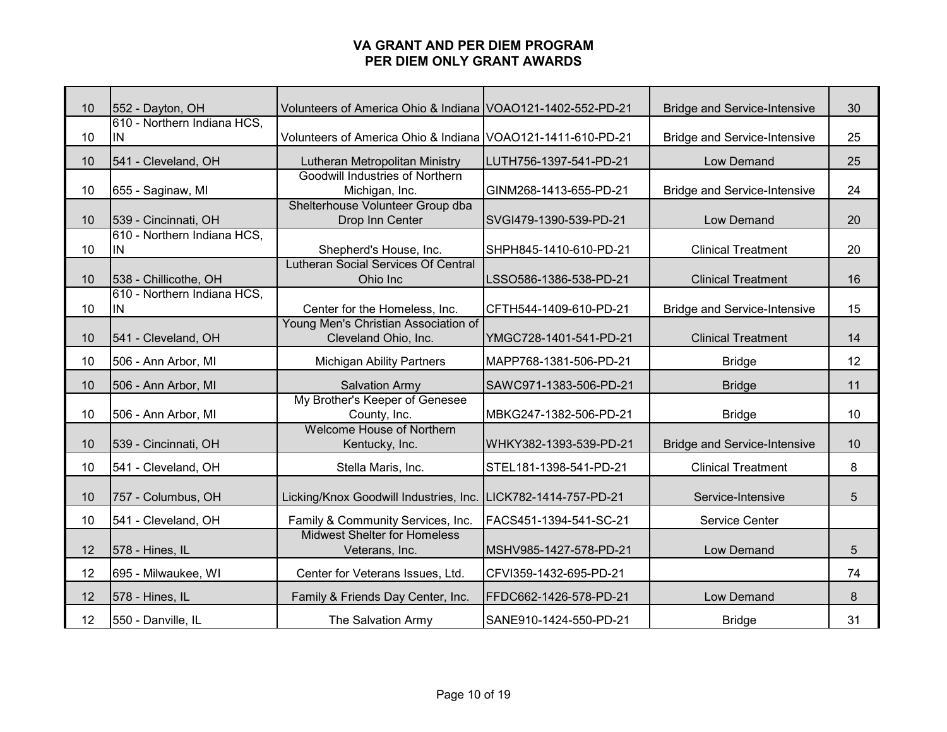| 10 | 552 - Dayton, OH                   | Volunteers of America Ohio & Indiana VOAO121-1402-552-PD-21   |                        | <b>Bridge and Service-Intensive</b> | 30 |
|----|------------------------------------|---------------------------------------------------------------|------------------------|-------------------------------------|----|
|    | 610 - Northern Indiana HCS,        |                                                               |                        |                                     |    |
| 10 | IN.                                | Volunteers of America Ohio & Indiana VOAO121-1411-610-PD-21   |                        | <b>Bridge and Service-Intensive</b> | 25 |
| 10 | 541 - Cleveland, OH                | Lutheran Metropolitan Ministry                                | LUTH756-1397-541-PD-21 | Low Demand                          | 25 |
| 10 | 655 - Saginaw, MI                  | Goodwill Industries of Northern<br>Michigan, Inc.             | GINM268-1413-655-PD-21 | <b>Bridge and Service-Intensive</b> | 24 |
| 10 | 539 - Cincinnati, OH               | Shelterhouse Volunteer Group dba<br>Drop Inn Center           | SVGI479-1390-539-PD-21 | Low Demand                          | 20 |
| 10 | 610 - Northern Indiana HCS,<br>IN  | Shepherd's House, Inc.                                        | SHPH845-1410-610-PD-21 | <b>Clinical Treatment</b>           | 20 |
| 10 | 538 - Chillicothe, OH              | <b>Lutheran Social Services Of Central</b><br>Ohio Inc        | LSSO586-1386-538-PD-21 | <b>Clinical Treatment</b>           | 16 |
| 10 | 610 - Northern Indiana HCS,<br>IN. | Center for the Homeless, Inc.                                 | CFTH544-1409-610-PD-21 | <b>Bridge and Service-Intensive</b> | 15 |
| 10 | 541 - Cleveland, OH                | Young Men's Christian Association of<br>Cleveland Ohio, Inc.  | YMGC728-1401-541-PD-21 | <b>Clinical Treatment</b>           | 14 |
| 10 | 506 - Ann Arbor, MI                | <b>Michigan Ability Partners</b>                              | MAPP768-1381-506-PD-21 | <b>Bridge</b>                       | 12 |
| 10 | 506 - Ann Arbor, MI                | <b>Salvation Army</b>                                         | SAWC971-1383-506-PD-21 | <b>Bridge</b>                       | 11 |
| 10 | 506 - Ann Arbor, MI                | My Brother's Keeper of Genesee<br>County, Inc.                | MBKG247-1382-506-PD-21 | <b>Bridge</b>                       | 10 |
| 10 | 539 - Cincinnati, OH               | <b>Welcome House of Northern</b><br>Kentucky, Inc.            | WHKY382-1393-539-PD-21 | <b>Bridge and Service-Intensive</b> | 10 |
| 10 | 541 - Cleveland, OH                | Stella Maris, Inc.                                            | STEL181-1398-541-PD-21 | <b>Clinical Treatment</b>           | 8  |
| 10 | 757 - Columbus, OH                 | Licking/Knox Goodwill Industries, Inc. LICK782-1414-757-PD-21 |                        | Service-Intensive                   | 5  |
| 10 | 541 - Cleveland, OH                | Family & Community Services, Inc.                             | FACS451-1394-541-SC-21 | Service Center                      |    |
| 12 | 578 - Hines, IL                    | <b>Midwest Shelter for Homeless</b><br>Veterans, Inc.         | MSHV985-1427-578-PD-21 | Low Demand                          | 5  |
| 12 | 695 - Milwaukee, WI                | Center for Veterans Issues, Ltd.                              | CFVI359-1432-695-PD-21 |                                     | 74 |
| 12 | 578 - Hines, IL                    | Family & Friends Day Center, Inc.                             | FFDC662-1426-578-PD-21 | Low Demand                          | 8  |
| 12 | 550 - Danville, IL                 | The Salvation Army                                            | SANE910-1424-550-PD-21 | <b>Bridge</b>                       | 31 |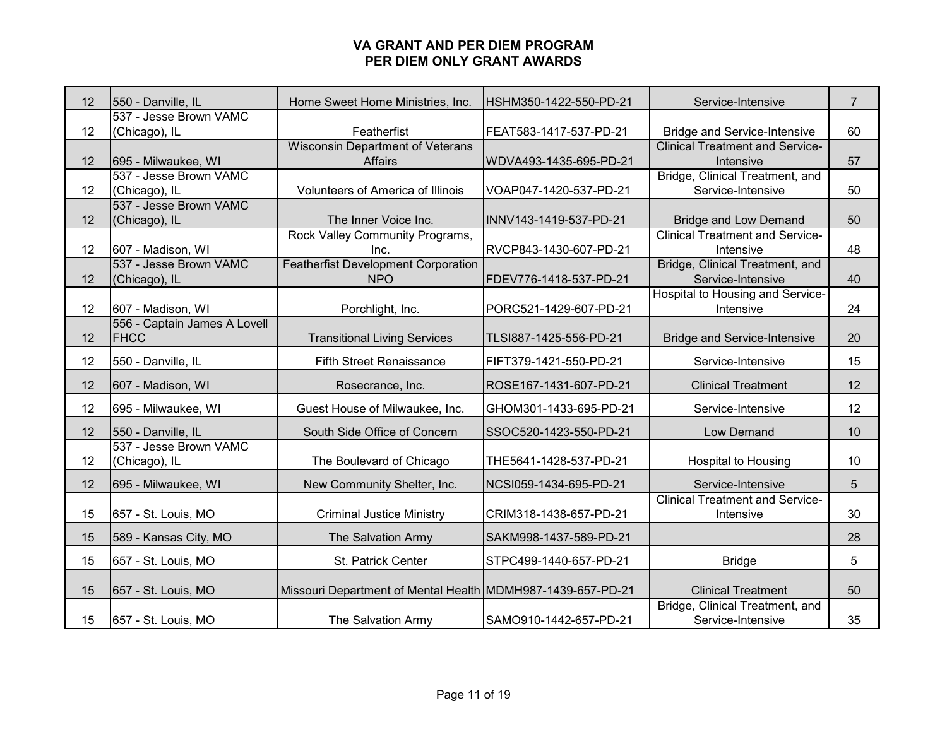| 12 | 550 - Danville, IL                          | Home Sweet Home Ministries, Inc.                            | HSHM350-1422-550-PD-21 | Service-Intensive                                    | $\overline{7}$ |
|----|---------------------------------------------|-------------------------------------------------------------|------------------------|------------------------------------------------------|----------------|
| 12 | 537 - Jesse Brown VAMC<br>(Chicago), IL     | Featherfist                                                 | FEAT583-1417-537-PD-21 | <b>Bridge and Service-Intensive</b>                  | 60             |
| 12 | 695 - Milwaukee, WI                         | <b>Wisconsin Department of Veterans</b><br><b>Affairs</b>   | WDVA493-1435-695-PD-21 | <b>Clinical Treatment and Service-</b><br>Intensive  | 57             |
| 12 | 537 - Jesse Brown VAMC<br>(Chicago), IL     | Volunteers of America of Illinois                           | VOAP047-1420-537-PD-21 | Bridge, Clinical Treatment, and<br>Service-Intensive | 50             |
| 12 | 537 - Jesse Brown VAMC<br>(Chicago), IL     | The Inner Voice Inc.                                        | INNV143-1419-537-PD-21 | <b>Bridge and Low Demand</b>                         | 50             |
| 12 | 607 - Madison, WI                           | Rock Valley Community Programs,<br>Inc.                     | RVCP843-1430-607-PD-21 | <b>Clinical Treatment and Service-</b><br>Intensive  | 48             |
| 12 | 537 - Jesse Brown VAMC<br>(Chicago), IL     | <b>Featherfist Development Corporation</b><br><b>NPO</b>    | FDEV776-1418-537-PD-21 | Bridge, Clinical Treatment, and<br>Service-Intensive | 40             |
| 12 | 607 - Madison, WI                           | Porchlight, Inc.                                            | PORC521-1429-607-PD-21 | Hospital to Housing and Service-<br>Intensive        | 24             |
| 12 | 556 - Captain James A Lovell<br><b>FHCC</b> | <b>Transitional Living Services</b>                         | TLSI887-1425-556-PD-21 | <b>Bridge and Service-Intensive</b>                  | 20             |
| 12 | 550 - Danville, IL                          | <b>Fifth Street Renaissance</b>                             | FIFT379-1421-550-PD-21 | Service-Intensive                                    | 15             |
| 12 | 607 - Madison, WI                           | Rosecrance, Inc.                                            | ROSE167-1431-607-PD-21 | <b>Clinical Treatment</b>                            | 12             |
| 12 | 695 - Milwaukee, WI                         | Guest House of Milwaukee, Inc.                              | GHOM301-1433-695-PD-21 | Service-Intensive                                    | 12             |
| 12 | 550 - Danville, IL                          | South Side Office of Concern                                | SSOC520-1423-550-PD-21 | Low Demand                                           | 10             |
| 12 | 537 - Jesse Brown VAMC<br>(Chicago), IL     | The Boulevard of Chicago                                    | THE5641-1428-537-PD-21 | <b>Hospital to Housing</b>                           | 10             |
| 12 | 695 - Milwaukee, WI                         | New Community Shelter, Inc.                                 | NCSI059-1434-695-PD-21 | Service-Intensive                                    | 5              |
| 15 | 657 - St. Louis, MO                         | <b>Criminal Justice Ministry</b>                            | CRIM318-1438-657-PD-21 | <b>Clinical Treatment and Service-</b><br>Intensive  | 30             |
| 15 | 589 - Kansas City, MO                       | The Salvation Army                                          | SAKM998-1437-589-PD-21 |                                                      | 28             |
| 15 | 657 - St. Louis, MO                         | St. Patrick Center                                          | STPC499-1440-657-PD-21 | <b>Bridge</b>                                        | 5              |
| 15 | 657 - St. Louis, MO                         | Missouri Department of Mental Health MDMH987-1439-657-PD-21 |                        | <b>Clinical Treatment</b>                            | 50             |
| 15 | 657 - St. Louis, MO                         | The Salvation Army                                          | SAMO910-1442-657-PD-21 | Bridge, Clinical Treatment, and<br>Service-Intensive | 35             |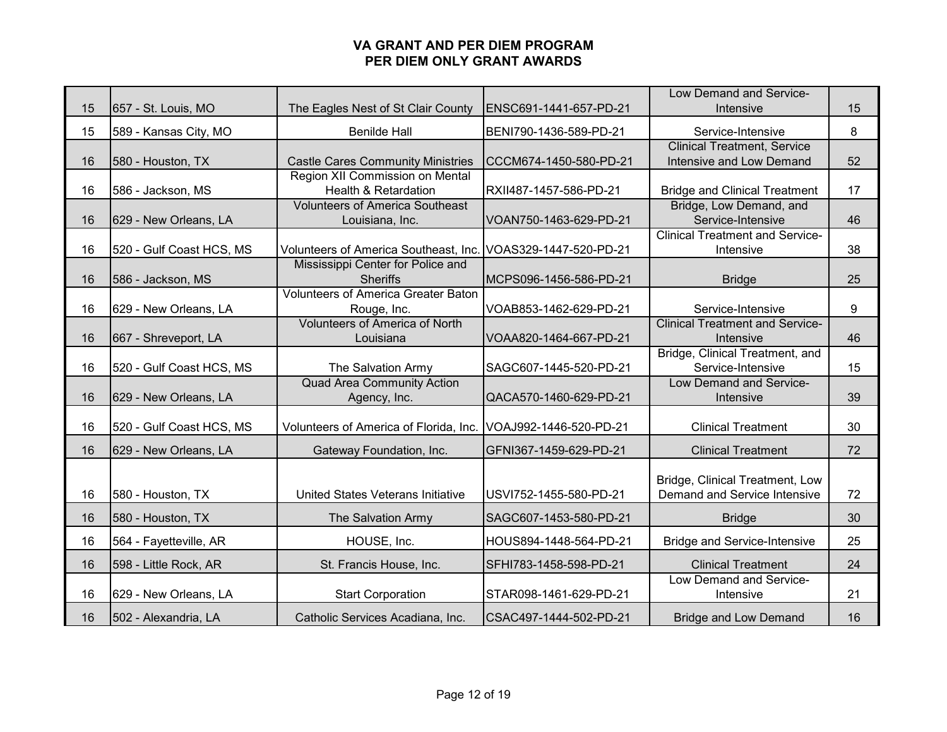|    |                          |                                                               |                        | Low Demand and Service-                                        |    |
|----|--------------------------|---------------------------------------------------------------|------------------------|----------------------------------------------------------------|----|
| 15 | 657 - St. Louis, MO      | The Eagles Nest of St Clair County                            | ENSC691-1441-657-PD-21 | Intensive                                                      | 15 |
| 15 | 589 - Kansas City, MO    | <b>Benilde Hall</b>                                           | BENI790-1436-589-PD-21 | Service-Intensive                                              | 8  |
| 16 | 580 - Houston, TX        | <b>Castle Cares Community Ministries</b>                      | CCCM674-1450-580-PD-21 | <b>Clinical Treatment, Service</b><br>Intensive and Low Demand | 52 |
|    |                          | Region XII Commission on Mental                               |                        |                                                                |    |
| 16 | 586 - Jackson, MS        | Health & Retardation                                          | RXII487-1457-586-PD-21 | <b>Bridge and Clinical Treatment</b>                           | 17 |
|    |                          | <b>Volunteers of America Southeast</b>                        |                        | Bridge, Low Demand, and                                        |    |
| 16 | 629 - New Orleans, LA    | Louisiana, Inc.                                               | VOAN750-1463-629-PD-21 | Service-Intensive<br><b>Clinical Treatment and Service-</b>    | 46 |
| 16 | 520 - Gulf Coast HCS, MS | Volunteers of America Southeast, Inc. VOAS329-1447-520-PD-21  |                        | Intensive                                                      | 38 |
|    |                          | Mississippi Center for Police and                             |                        |                                                                |    |
| 16 | 586 - Jackson, MS        | <b>Sheriffs</b>                                               | MCPS096-1456-586-PD-21 | <b>Bridge</b>                                                  | 25 |
|    |                          | <b>Volunteers of America Greater Baton</b>                    |                        |                                                                |    |
| 16 | 629 - New Orleans, LA    | Rouge, Inc.                                                   | VOAB853-1462-629-PD-21 | Service-Intensive                                              | 9  |
|    |                          | <b>Volunteers of America of North</b>                         |                        | <b>Clinical Treatment and Service-</b>                         |    |
| 16 | 667 - Shreveport, LA     | Louisiana                                                     | VOAA820-1464-667-PD-21 | Intensive                                                      | 46 |
|    |                          |                                                               |                        | Bridge, Clinical Treatment, and                                |    |
| 16 | 520 - Gulf Coast HCS, MS | The Salvation Army                                            | SAGC607-1445-520-PD-21 | Service-Intensive                                              | 15 |
|    |                          | <b>Quad Area Community Action</b>                             |                        | <b>Low Demand and Service-</b>                                 |    |
| 16 | 629 - New Orleans, LA    | Agency, Inc.                                                  | QACA570-1460-629-PD-21 | Intensive                                                      | 39 |
| 16 | 520 - Gulf Coast HCS, MS | Volunteers of America of Florida, Inc. VOAJ992-1446-520-PD-21 |                        | <b>Clinical Treatment</b>                                      | 30 |
| 16 | 629 - New Orleans, LA    | Gateway Foundation, Inc.                                      | GFNI367-1459-629-PD-21 | <b>Clinical Treatment</b>                                      | 72 |
|    |                          |                                                               |                        | Bridge, Clinical Treatment, Low                                |    |
| 16 | 580 - Houston, TX        | United States Veterans Initiative                             | USVI752-1455-580-PD-21 | Demand and Service Intensive                                   | 72 |
| 16 | 580 - Houston, TX        | The Salvation Army                                            | SAGC607-1453-580-PD-21 | <b>Bridge</b>                                                  | 30 |
| 16 | 564 - Fayetteville, AR   | HOUSE, Inc.                                                   | HOUS894-1448-564-PD-21 | <b>Bridge and Service-Intensive</b>                            | 25 |
| 16 | 598 - Little Rock, AR    | St. Francis House, Inc.                                       | SFHI783-1458-598-PD-21 | <b>Clinical Treatment</b>                                      | 24 |
| 16 | 629 - New Orleans, LA    | <b>Start Corporation</b>                                      | STAR098-1461-629-PD-21 | Low Demand and Service-<br>Intensive                           | 21 |
| 16 | 502 - Alexandria, LA     | Catholic Services Acadiana, Inc.                              | CSAC497-1444-502-PD-21 | <b>Bridge and Low Demand</b>                                   | 16 |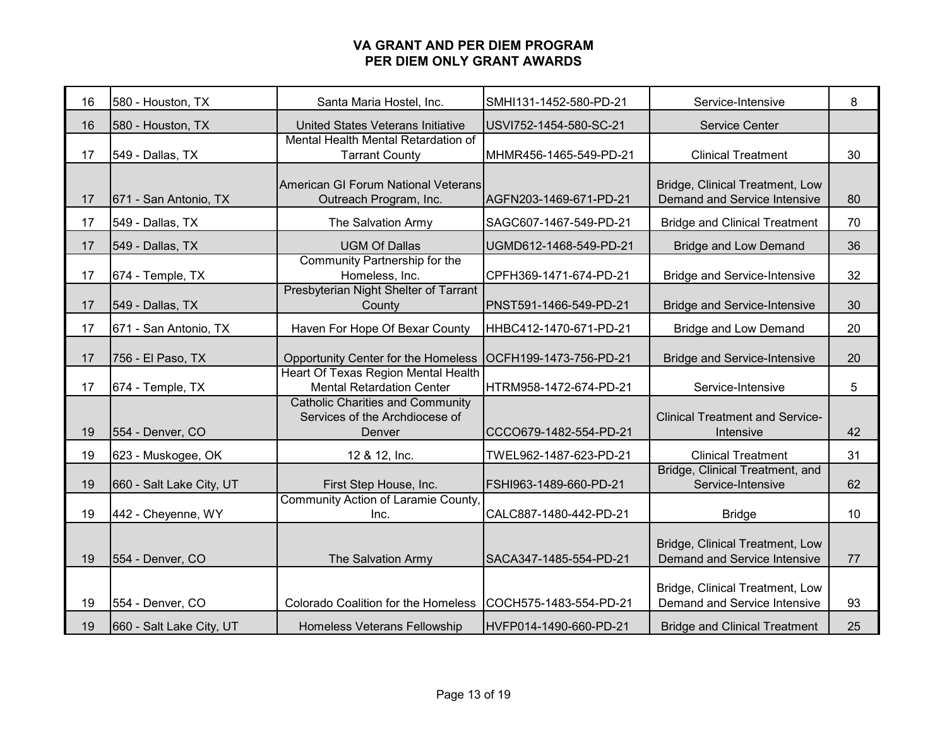| 16 | 580 - Houston, TX        | Santa Maria Hostel, Inc.                                                            | SMHI131-1452-580-PD-21 | Service-Intensive                                               | 8  |
|----|--------------------------|-------------------------------------------------------------------------------------|------------------------|-----------------------------------------------------------------|----|
| 16 | 580 - Houston, TX        | United States Veterans Initiative                                                   | USVI752-1454-580-SC-21 | Service Center                                                  |    |
| 17 | 549 - Dallas, TX         | Mental Health Mental Retardation of<br><b>Tarrant County</b>                        | MHMR456-1465-549-PD-21 | <b>Clinical Treatment</b>                                       | 30 |
| 17 | 671 - San Antonio, TX    | American GI Forum National Veterans<br>Outreach Program, Inc.                       | AGFN203-1469-671-PD-21 | Bridge, Clinical Treatment, Low<br>Demand and Service Intensive | 80 |
| 17 | 549 - Dallas, TX         | The Salvation Army                                                                  | SAGC607-1467-549-PD-21 | <b>Bridge and Clinical Treatment</b>                            | 70 |
| 17 | 549 - Dallas, TX         | <b>UGM Of Dallas</b>                                                                | UGMD612-1468-549-PD-21 | <b>Bridge and Low Demand</b>                                    | 36 |
| 17 | 674 - Temple, TX         | Community Partnership for the<br>Homeless, Inc.                                     | CPFH369-1471-674-PD-21 | <b>Bridge and Service-Intensive</b>                             | 32 |
| 17 | 549 - Dallas, TX         | Presbyterian Night Shelter of Tarrant<br>County                                     | PNST591-1466-549-PD-21 | <b>Bridge and Service-Intensive</b>                             | 30 |
| 17 | 671 - San Antonio, TX    | Haven For Hope Of Bexar County                                                      | HHBC412-1470-671-PD-21 | <b>Bridge and Low Demand</b>                                    | 20 |
| 17 | 756 - El Paso, TX        | Opportunity Center for the Homeless                                                 | OCFH199-1473-756-PD-21 | <b>Bridge and Service-Intensive</b>                             | 20 |
| 17 | 674 - Temple, TX         | Heart Of Texas Region Mental Health<br><b>Mental Retardation Center</b>             | HTRM958-1472-674-PD-21 | Service-Intensive                                               | 5  |
| 19 | 554 - Denver, CO         | <b>Catholic Charities and Community</b><br>Services of the Archdiocese of<br>Denver | CCCO679-1482-554-PD-21 | <b>Clinical Treatment and Service-</b><br>Intensive             | 42 |
| 19 | 623 - Muskogee, OK       | 12 & 12, Inc.                                                                       | TWEL962-1487-623-PD-21 | <b>Clinical Treatment</b>                                       | 31 |
| 19 | 660 - Salt Lake City, UT | First Step House, Inc.                                                              | FSHI963-1489-660-PD-21 | Bridge, Clinical Treatment, and<br>Service-Intensive            | 62 |
| 19 | 442 - Cheyenne, WY       | Community Action of Laramie County,<br>Inc.                                         | CALC887-1480-442-PD-21 | <b>Bridge</b>                                                   | 10 |
| 19 | 554 - Denver, CO         | The Salvation Army                                                                  | SACA347-1485-554-PD-21 | Bridge, Clinical Treatment, Low<br>Demand and Service Intensive | 77 |
| 19 | 554 - Denver, CO         | Colorado Coalition for the Homeless                                                 | COCH575-1483-554-PD-21 | Bridge, Clinical Treatment, Low<br>Demand and Service Intensive | 93 |
| 19 | 660 - Salt Lake City, UT | Homeless Veterans Fellowship                                                        | HVFP014-1490-660-PD-21 | <b>Bridge and Clinical Treatment</b>                            | 25 |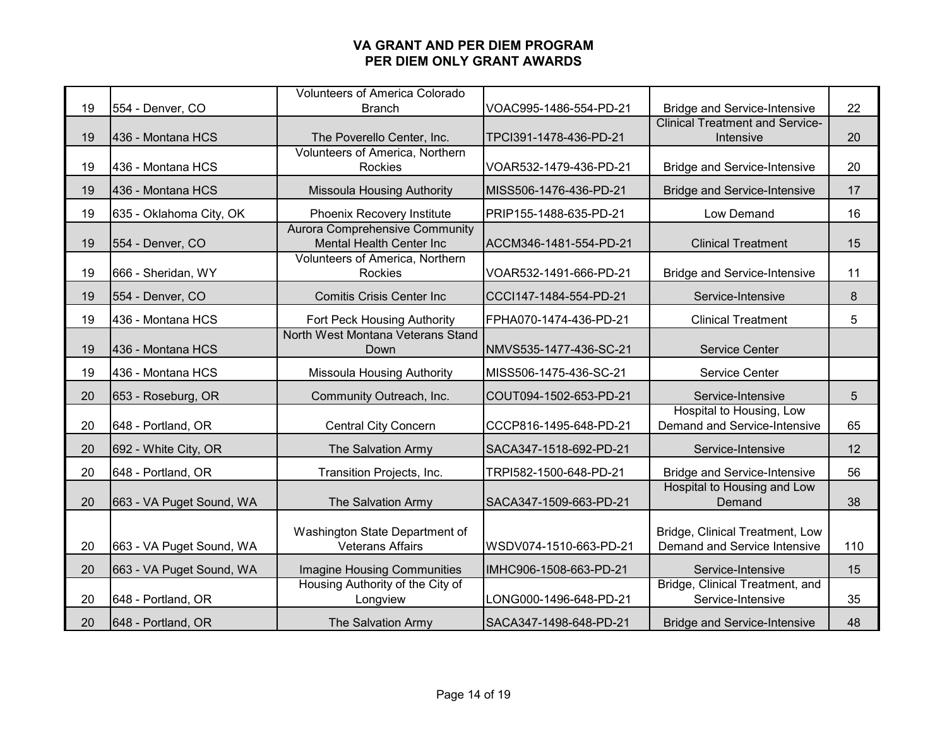|    |                          | <b>Volunteers of America Colorado</b> |                        |                                        |     |
|----|--------------------------|---------------------------------------|------------------------|----------------------------------------|-----|
| 19 | 554 - Denver, CO         | <b>Branch</b>                         | VOAC995-1486-554-PD-21 | <b>Bridge and Service-Intensive</b>    | 22  |
|    |                          |                                       |                        | <b>Clinical Treatment and Service-</b> |     |
| 19 | 436 - Montana HCS        | The Poverello Center, Inc.            | TPCI391-1478-436-PD-21 | Intensive                              | 20  |
|    |                          | Volunteers of America, Northern       |                        |                                        |     |
| 19 | 436 - Montana HCS        | Rockies                               | VOAR532-1479-436-PD-21 | <b>Bridge and Service-Intensive</b>    | 20  |
| 19 | 1436 - Montana HCS       | <b>Missoula Housing Authority</b>     | MISS506-1476-436-PD-21 | <b>Bridge and Service-Intensive</b>    | 17  |
| 19 | 635 - Oklahoma City, OK  | Phoenix Recovery Institute            | PRIP155-1488-635-PD-21 | Low Demand                             | 16  |
|    |                          | <b>Aurora Comprehensive Community</b> |                        |                                        |     |
| 19 | 554 - Denver, CO         | Mental Health Center Inc              | ACCM346-1481-554-PD-21 | <b>Clinical Treatment</b>              | 15  |
|    |                          | Volunteers of America, Northern       |                        |                                        |     |
| 19 | 666 - Sheridan, WY       | Rockies                               | VOAR532-1491-666-PD-21 | <b>Bridge and Service-Intensive</b>    | 11  |
| 19 | 554 - Denver, CO         | <b>Comitis Crisis Center Inc.</b>     | CCCI147-1484-554-PD-21 | Service-Intensive                      | 8   |
| 19 | 436 - Montana HCS        | Fort Peck Housing Authority           | FPHA070-1474-436-PD-21 | <b>Clinical Treatment</b>              | 5   |
|    |                          | North West Montana Veterans Stand     |                        |                                        |     |
| 19 | 436 - Montana HCS        | Down                                  | NMVS535-1477-436-SC-21 | <b>Service Center</b>                  |     |
| 19 | 436 - Montana HCS        | <b>Missoula Housing Authority</b>     | MISS506-1475-436-SC-21 | Service Center                         |     |
| 20 | 653 - Roseburg, OR       | Community Outreach, Inc.              | COUT094-1502-653-PD-21 | Service-Intensive                      | 5   |
|    |                          |                                       |                        | Hospital to Housing, Low               |     |
| 20 | 648 - Portland, OR       | <b>Central City Concern</b>           | CCCP816-1495-648-PD-21 | Demand and Service-Intensive           | 65  |
| 20 | 692 - White City, OR     | The Salvation Army                    | SACA347-1518-692-PD-21 | Service-Intensive                      | 12  |
| 20 | 648 - Portland, OR       | Transition Projects, Inc.             | TRPI582-1500-648-PD-21 | <b>Bridge and Service-Intensive</b>    | 56  |
|    |                          |                                       |                        | Hospital to Housing and Low            |     |
| 20 | 663 - VA Puget Sound, WA | The Salvation Army                    | SACA347-1509-663-PD-21 | Demand                                 | 38  |
|    |                          |                                       |                        |                                        |     |
|    |                          | Washington State Department of        |                        | Bridge, Clinical Treatment, Low        |     |
| 20 | 663 - VA Puget Sound, WA | <b>Veterans Affairs</b>               | WSDV074-1510-663-PD-21 | Demand and Service Intensive           | 110 |
| 20 | 663 - VA Puget Sound, WA | <b>Imagine Housing Communities</b>    | IMHC906-1508-663-PD-21 | Service-Intensive                      | 15  |
|    |                          | Housing Authority of the City of      |                        | Bridge, Clinical Treatment, and        |     |
| 20 | 648 - Portland, OR       | Longview                              | LONG000-1496-648-PD-21 | Service-Intensive                      | 35  |
| 20 | 648 - Portland, OR       | The Salvation Army                    | SACA347-1498-648-PD-21 | <b>Bridge and Service-Intensive</b>    | 48  |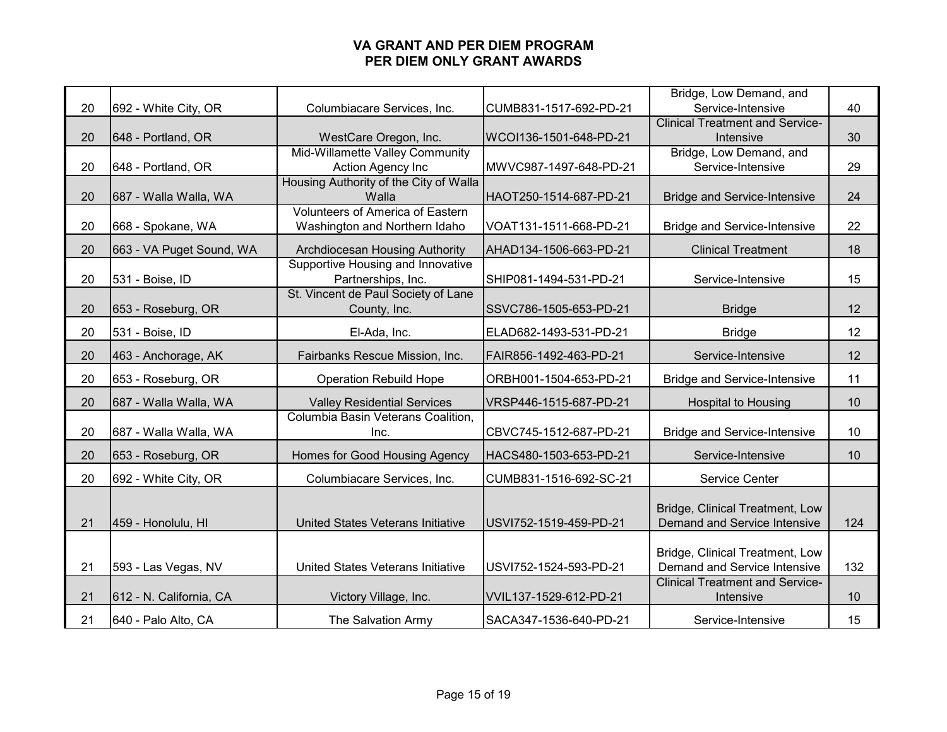|    |                          |                                                         |                        | Bridge, Low Demand, and                             |     |
|----|--------------------------|---------------------------------------------------------|------------------------|-----------------------------------------------------|-----|
| 20 | 692 - White City, OR     | Columbiacare Services, Inc.                             | CUMB831-1517-692-PD-21 | Service-Intensive                                   | 40  |
|    |                          |                                                         |                        | <b>Clinical Treatment and Service-</b>              |     |
| 20 | 648 - Portland, OR       | WestCare Oregon, Inc.                                   | WCOI136-1501-648-PD-21 | Intensive                                           | 30  |
|    |                          | Mid-Willamette Valley Community                         |                        | Bridge, Low Demand, and                             |     |
| 20 | 648 - Portland, OR       | Action Agency Inc                                       | MWVC987-1497-648-PD-21 | Service-Intensive                                   | 29  |
| 20 | 687 - Walla Walla, WA    | Housing Authority of the City of Walla<br>Walla         | HAOT250-1514-687-PD-21 | <b>Bridge and Service-Intensive</b>                 | 24  |
|    |                          | <b>Volunteers of America of Eastern</b>                 |                        |                                                     |     |
| 20 | 668 - Spokane, WA        | Washington and Northern Idaho                           | VOAT131-1511-668-PD-21 | <b>Bridge and Service-Intensive</b>                 | 22  |
| 20 | 663 - VA Puget Sound, WA | Archdiocesan Housing Authority                          | AHAD134-1506-663-PD-21 | <b>Clinical Treatment</b>                           | 18  |
| 20 | 531 - Boise, ID          | Supportive Housing and Innovative<br>Partnerships, Inc. | SHIP081-1494-531-PD-21 | Service-Intensive                                   | 15  |
|    |                          | St. Vincent de Paul Society of Lane                     |                        |                                                     |     |
| 20 | 653 - Roseburg, OR       | County, Inc.                                            | SSVC786-1505-653-PD-21 | <b>Bridge</b>                                       | 12  |
| 20 | 531 - Boise, ID          | El-Ada, Inc.                                            | ELAD682-1493-531-PD-21 | <b>Bridge</b>                                       | 12  |
| 20 | 463 - Anchorage, AK      | Fairbanks Rescue Mission, Inc.                          | FAIR856-1492-463-PD-21 | Service-Intensive                                   | 12  |
| 20 | 653 - Roseburg, OR       | <b>Operation Rebuild Hope</b>                           | ORBH001-1504-653-PD-21 | <b>Bridge and Service-Intensive</b>                 | 11  |
| 20 | 687 - Walla Walla, WA    | <b>Valley Residential Services</b>                      | VRSP446-1515-687-PD-21 | <b>Hospital to Housing</b>                          | 10  |
| 20 | 687 - Walla Walla, WA    | Columbia Basin Veterans Coalition,<br>Inc.              | CBVC745-1512-687-PD-21 | <b>Bridge and Service-Intensive</b>                 | 10  |
|    |                          |                                                         |                        |                                                     |     |
| 20 | 653 - Roseburg, OR       | Homes for Good Housing Agency                           | HACS480-1503-653-PD-21 | Service-Intensive                                   | 10  |
| 20 | 692 - White City, OR     | Columbiacare Services, Inc.                             | CUMB831-1516-692-SC-21 | Service Center                                      |     |
|    |                          |                                                         |                        | Bridge, Clinical Treatment, Low                     |     |
| 21 | 459 - Honolulu, HI       | United States Veterans Initiative                       | USVI752-1519-459-PD-21 | Demand and Service Intensive                        | 124 |
|    |                          |                                                         |                        |                                                     |     |
|    |                          |                                                         |                        | Bridge, Clinical Treatment, Low                     |     |
| 21 | 593 - Las Vegas, NV      | United States Veterans Initiative                       | USVI752-1524-593-PD-21 | Demand and Service Intensive                        | 132 |
| 21 | 612 - N. California, CA  | Victory Village, Inc.                                   | VVIL137-1529-612-PD-21 | <b>Clinical Treatment and Service-</b><br>Intensive | 10  |
| 21 | 640 - Palo Alto, CA      | The Salvation Army                                      | SACA347-1536-640-PD-21 | Service-Intensive                                   | 15  |
|    |                          |                                                         |                        |                                                     |     |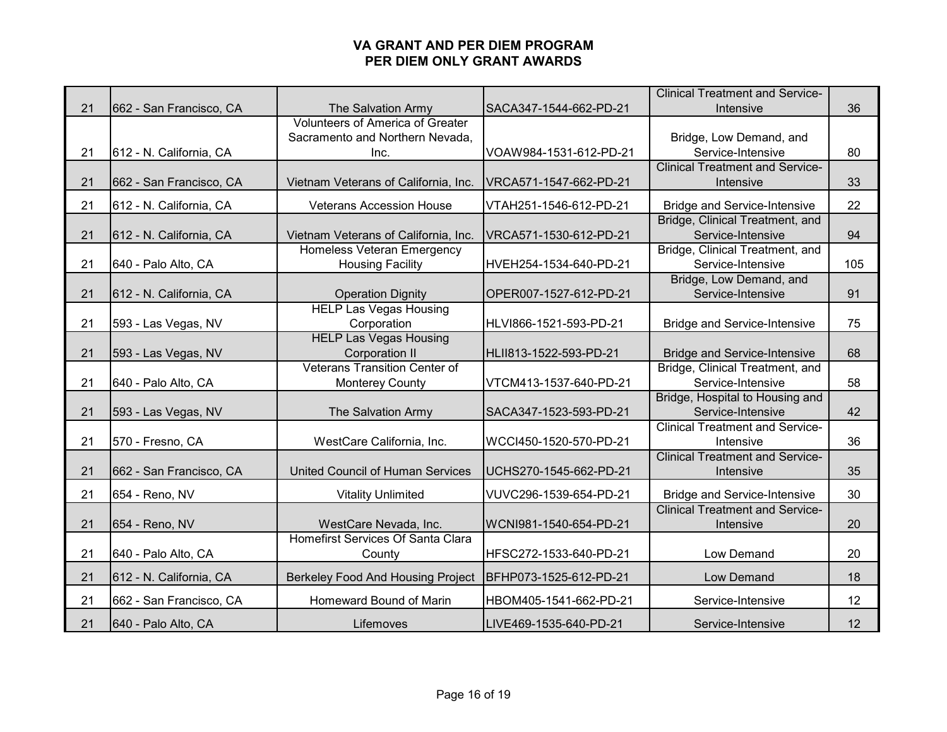|    |                         |                                         |                        | <b>Clinical Treatment and Service-</b> |     |
|----|-------------------------|-----------------------------------------|------------------------|----------------------------------------|-----|
| 21 | 662 - San Francisco, CA | The Salvation Army                      | SACA347-1544-662-PD-21 | Intensive                              | 36  |
|    |                         | Volunteers of America of Greater        |                        |                                        |     |
|    |                         | Sacramento and Northern Nevada,         |                        | Bridge, Low Demand, and                |     |
| 21 | 612 - N. California, CA | Inc.                                    | VOAW984-1531-612-PD-21 | Service-Intensive                      | 80  |
|    |                         |                                         |                        | <b>Clinical Treatment and Service-</b> |     |
| 21 | 662 - San Francisco, CA | Vietnam Veterans of California, Inc.    | VRCA571-1547-662-PD-21 | Intensive                              | 33  |
| 21 | 612 - N. California, CA | <b>Veterans Accession House</b>         | VTAH251-1546-612-PD-21 | <b>Bridge and Service-Intensive</b>    | 22  |
|    |                         |                                         |                        | Bridge, Clinical Treatment, and        |     |
| 21 | 612 - N. California, CA | Vietnam Veterans of California, Inc.    | VRCA571-1530-612-PD-21 | Service-Intensive                      | 94  |
|    |                         | <b>Homeless Veteran Emergency</b>       |                        | Bridge, Clinical Treatment, and        |     |
| 21 | 640 - Palo Alto, CA     | <b>Housing Facility</b>                 | HVEH254-1534-640-PD-21 | Service-Intensive                      | 105 |
|    |                         |                                         |                        | Bridge, Low Demand, and                |     |
| 21 | 612 - N. California, CA | <b>Operation Dignity</b>                | OPER007-1527-612-PD-21 | Service-Intensive                      | 91  |
|    |                         | <b>HELP Las Vegas Housing</b>           |                        |                                        |     |
| 21 | 593 - Las Vegas, NV     | Corporation                             | HLVI866-1521-593-PD-21 | <b>Bridge and Service-Intensive</b>    | 75  |
|    |                         | <b>HELP Las Vegas Housing</b>           |                        |                                        |     |
| 21 | 593 - Las Vegas, NV     | <b>Corporation II</b>                   | HLII813-1522-593-PD-21 | <b>Bridge and Service-Intensive</b>    | 68  |
|    |                         | <b>Veterans Transition Center of</b>    |                        | Bridge, Clinical Treatment, and        |     |
| 21 | 640 - Palo Alto, CA     | <b>Monterey County</b>                  | VTCM413-1537-640-PD-21 | Service-Intensive                      | 58  |
|    |                         |                                         |                        | Bridge, Hospital to Housing and        |     |
| 21 | 593 - Las Vegas, NV     | The Salvation Army                      | SACA347-1523-593-PD-21 | Service-Intensive                      | 42  |
|    |                         |                                         |                        | <b>Clinical Treatment and Service-</b> |     |
| 21 | 570 - Fresno, CA        | WestCare California, Inc.               | WCCI450-1520-570-PD-21 | Intensive                              | 36  |
|    |                         |                                         |                        | <b>Clinical Treatment and Service-</b> |     |
| 21 | 662 - San Francisco, CA | <b>United Council of Human Services</b> | UCHS270-1545-662-PD-21 | Intensive                              | 35  |
| 21 | 654 - Reno, NV          | <b>Vitality Unlimited</b>               | VUVC296-1539-654-PD-21 | <b>Bridge and Service-Intensive</b>    | 30  |
|    |                         |                                         |                        | <b>Clinical Treatment and Service-</b> |     |
| 21 | 654 - Reno, NV          | WestCare Nevada, Inc.                   | WCNI981-1540-654-PD-21 | Intensive                              | 20  |
|    |                         | Homefirst Services Of Santa Clara       |                        |                                        |     |
| 21 | 640 - Palo Alto, CA     | County                                  | HFSC272-1533-640-PD-21 | Low Demand                             | 20  |
| 21 | 612 - N. California, CA | Berkeley Food And Housing Project       | BFHP073-1525-612-PD-21 | <b>Low Demand</b>                      | 18  |
| 21 | 662 - San Francisco, CA | Homeward Bound of Marin                 | HBOM405-1541-662-PD-21 | Service-Intensive                      | 12  |
| 21 | 640 - Palo Alto, CA     | Lifemoves                               | LIVE469-1535-640-PD-21 | Service-Intensive                      | 12  |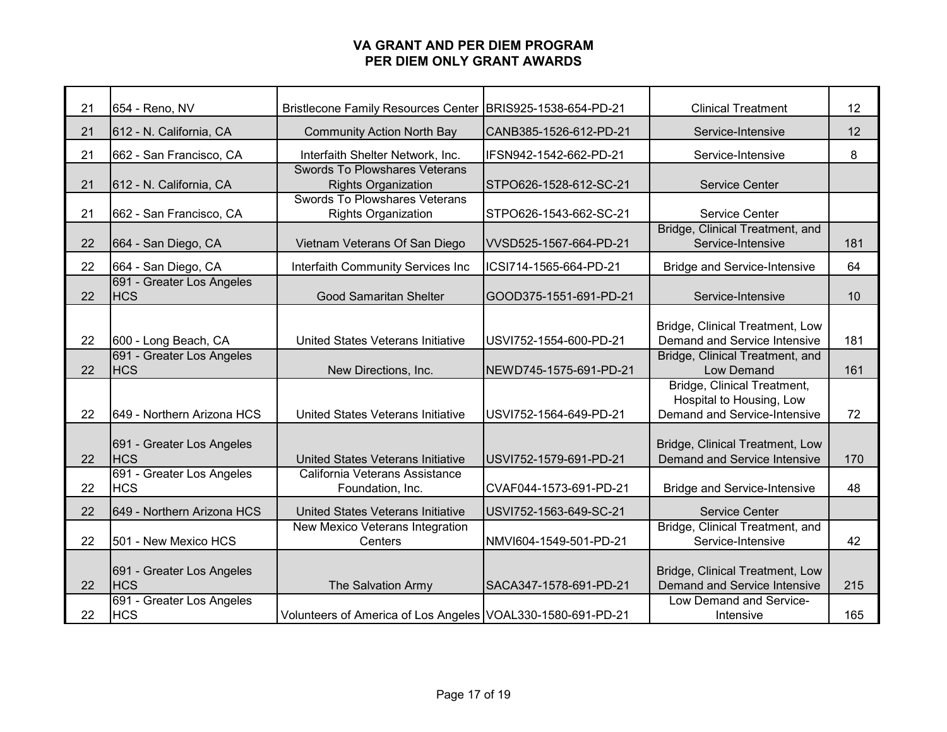| 21 | 654 - Reno, NV                          | <b>Bristlecone Family Resources Center</b>                         | BRIS925-1538-654-PD-21 | <b>Clinical Treatment</b>                                                               | 12  |
|----|-----------------------------------------|--------------------------------------------------------------------|------------------------|-----------------------------------------------------------------------------------------|-----|
| 21 | 612 - N. California, CA                 | <b>Community Action North Bay</b>                                  | CANB385-1526-612-PD-21 | Service-Intensive                                                                       | 12  |
| 21 | 662 - San Francisco, CA                 | Interfaith Shelter Network, Inc.                                   | IFSN942-1542-662-PD-21 | Service-Intensive                                                                       | 8   |
| 21 | 612 - N. California, CA                 | <b>Swords To Plowshares Veterans</b><br><b>Rights Organization</b> | STPO626-1528-612-SC-21 | <b>Service Center</b>                                                                   |     |
| 21 | 662 - San Francisco, CA                 | <b>Swords To Plowshares Veterans</b><br><b>Rights Organization</b> | STPO626-1543-662-SC-21 | Service Center                                                                          |     |
| 22 | 664 - San Diego, CA                     | Vietnam Veterans Of San Diego                                      | VVSD525-1567-664-PD-21 | Bridge, Clinical Treatment, and<br>Service-Intensive                                    | 181 |
| 22 | 664 - San Diego, CA                     | Interfaith Community Services Inc                                  | ICSI714-1565-664-PD-21 | <b>Bridge and Service-Intensive</b>                                                     | 64  |
| 22 | 691 - Greater Los Angeles<br><b>HCS</b> | <b>Good Samaritan Shelter</b>                                      | GOOD375-1551-691-PD-21 | Service-Intensive                                                                       | 10  |
| 22 | 600 - Long Beach, CA                    | United States Veterans Initiative                                  | USVI752-1554-600-PD-21 | Bridge, Clinical Treatment, Low<br>Demand and Service Intensive                         | 181 |
| 22 | 691 - Greater Los Angeles<br><b>HCS</b> | New Directions, Inc.                                               | NEWD745-1575-691-PD-21 | Bridge, Clinical Treatment, and<br>Low Demand                                           | 161 |
| 22 | 649 - Northern Arizona HCS              | United States Veterans Initiative                                  | USVI752-1564-649-PD-21 | Bridge, Clinical Treatment,<br>Hospital to Housing, Low<br>Demand and Service-Intensive | 72  |
| 22 | 691 - Greater Los Angeles<br><b>HCS</b> | United States Veterans Initiative                                  | USVI752-1579-691-PD-21 | Bridge, Clinical Treatment, Low<br>Demand and Service Intensive                         | 170 |
| 22 | 691 - Greater Los Angeles<br><b>HCS</b> | California Veterans Assistance<br>Foundation, Inc.                 | CVAF044-1573-691-PD-21 | <b>Bridge and Service-Intensive</b>                                                     | 48  |
| 22 | 649 - Northern Arizona HCS              | United States Veterans Initiative                                  | USVI752-1563-649-SC-21 | <b>Service Center</b>                                                                   |     |
| 22 | 501 - New Mexico HCS                    | New Mexico Veterans Integration<br>Centers                         | NMVI604-1549-501-PD-21 | Bridge, Clinical Treatment, and<br>Service-Intensive                                    | 42  |
| 22 | 691 - Greater Los Angeles<br><b>HCS</b> | The Salvation Army                                                 | SACA347-1578-691-PD-21 | Bridge, Clinical Treatment, Low<br>Demand and Service Intensive                         | 215 |
| 22 | 691 - Greater Los Angeles<br><b>HCS</b> | Volunteers of America of Los Angeles VOAL330-1580-691-PD-21        |                        | Low Demand and Service-<br>Intensive                                                    | 165 |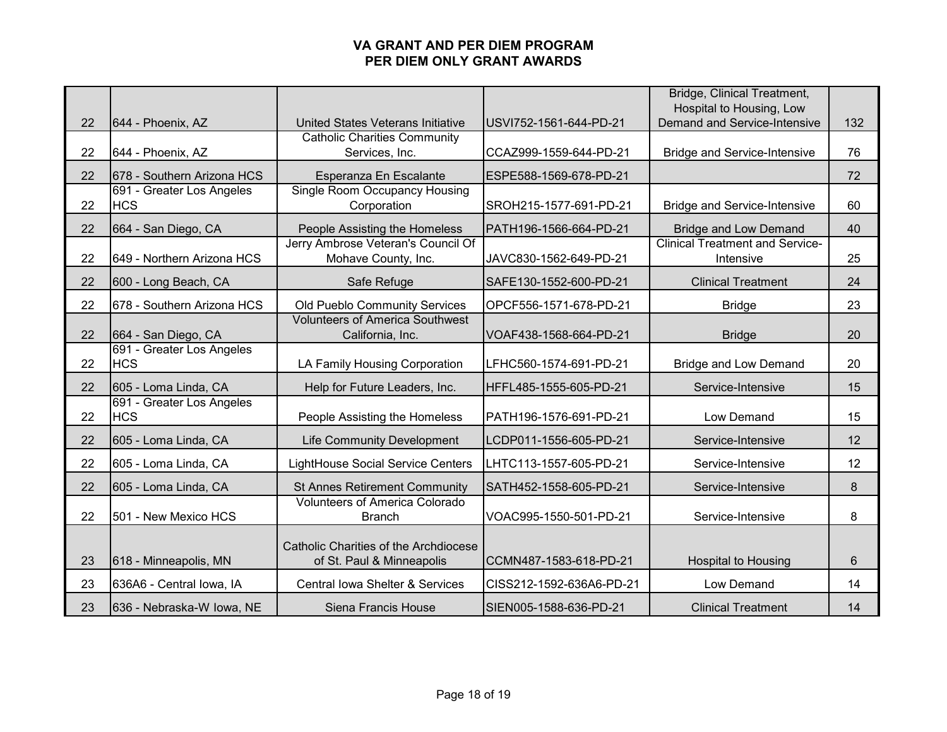|    |                                         |                                                                    |                          | Bridge, Clinical Treatment,<br>Hospital to Housing, Low |     |
|----|-----------------------------------------|--------------------------------------------------------------------|--------------------------|---------------------------------------------------------|-----|
| 22 | 644 - Phoenix, AZ                       | United States Veterans Initiative                                  | USVI752-1561-644-PD-21   | Demand and Service-Intensive                            | 132 |
| 22 | 644 - Phoenix, AZ                       | <b>Catholic Charities Community</b><br>Services, Inc.              | CCAZ999-1559-644-PD-21   | <b>Bridge and Service-Intensive</b>                     | 76  |
| 22 | 678 - Southern Arizona HCS              | Esperanza En Escalante                                             | ESPE588-1569-678-PD-21   |                                                         | 72  |
| 22 | 691 - Greater Los Angeles<br><b>HCS</b> | <b>Single Room Occupancy Housing</b><br>Corporation                | SROH215-1577-691-PD-21   | <b>Bridge and Service-Intensive</b>                     | 60  |
| 22 | 664 - San Diego, CA                     | People Assisting the Homeless                                      | PATH196-1566-664-PD-21   | <b>Bridge and Low Demand</b>                            | 40  |
| 22 | 649 - Northern Arizona HCS              | Jerry Ambrose Veteran's Council Of<br>Mohave County, Inc.          | JAVC830-1562-649-PD-21   | <b>Clinical Treatment and Service-</b><br>Intensive     | 25  |
| 22 | 600 - Long Beach, CA                    | Safe Refuge                                                        | SAFE130-1552-600-PD-21   | <b>Clinical Treatment</b>                               | 24  |
| 22 | 678 - Southern Arizona HCS              | Old Pueblo Community Services                                      | OPCF556-1571-678-PD-21   | <b>Bridge</b>                                           | 23  |
| 22 | 664 - San Diego, CA                     | <b>Volunteers of America Southwest</b><br>California, Inc.         | VOAF438-1568-664-PD-21   | <b>Bridge</b>                                           | 20  |
| 22 | 691 - Greater Los Angeles<br><b>HCS</b> | LA Family Housing Corporation                                      | LFHC560-1574-691-PD-21   | <b>Bridge and Low Demand</b>                            | 20  |
| 22 | 605 - Loma Linda, CA                    | Help for Future Leaders, Inc.                                      | HFFL485-1555-605-PD-21   | Service-Intensive                                       | 15  |
| 22 | 691 - Greater Los Angeles<br><b>HCS</b> | People Assisting the Homeless                                      | PATH196-1576-691-PD-21   | Low Demand                                              | 15  |
| 22 | 605 - Loma Linda, CA                    | <b>Life Community Development</b>                                  | LCDP011-1556-605-PD-21   | Service-Intensive                                       | 12  |
| 22 | 605 - Loma Linda, CA                    | <b>LightHouse Social Service Centers</b>                           | LHTC113-1557-605-PD-21   | Service-Intensive                                       | 12  |
| 22 | 605 - Loma Linda, CA                    | <b>St Annes Retirement Community</b>                               | SATH452-1558-605-PD-21   | Service-Intensive                                       | 8   |
| 22 | 501 - New Mexico HCS                    | <b>Volunteers of America Colorado</b><br><b>Branch</b>             | VOAC995-1550-501-PD-21   | Service-Intensive                                       | 8   |
| 23 | 618 - Minneapolis, MN                   | Catholic Charities of the Archdiocese<br>of St. Paul & Minneapolis | CCMN487-1583-618-PD-21   | <b>Hospital to Housing</b>                              | 6   |
| 23 | 636A6 - Central Iowa, IA                | Central Iowa Shelter & Services                                    | CISS212-1592-636A6-PD-21 | Low Demand                                              | 14  |
| 23 | 636 - Nebraska-W Iowa, NE               | Siena Francis House                                                | SIEN005-1588-636-PD-21   | <b>Clinical Treatment</b>                               | 14  |